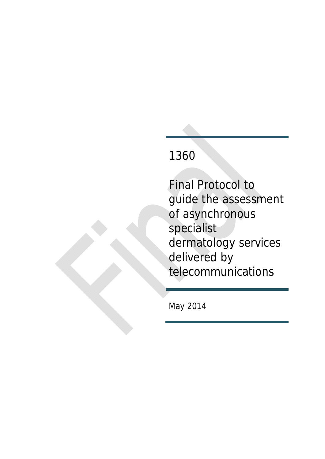# 1360

Final Protocol to guide the assessment of asynchronous specialist dermatology services delivered by telecommunications

May 2014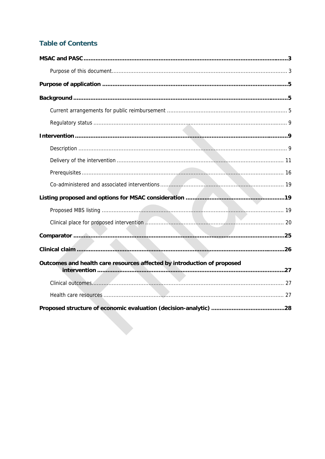# **Table of Contents**

| Outcomes and health care resources affected by introduction of proposed |
|-------------------------------------------------------------------------|
|                                                                         |
|                                                                         |
|                                                                         |
|                                                                         |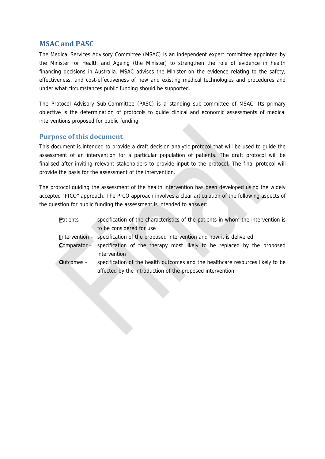# **MSAC and PASC**

The Medical Services Advisory Committee (MSAC) is an independent expert committee appointed by the Minister for Health and Ageing (the Minister) to strengthen the role of evidence in health financing decisions in Australia. MSAC advises the Minister on the evidence relating to the safety, effectiveness, and cost-effectiveness of new and existing medical technologies and procedures and under what circumstances public funding should be supported.

The Protocol Advisory Sub-Committee (PASC) is a standing sub-committee of MSAC. Its primary objective is the determination of protocols to guide clinical and economic assessments of medical interventions proposed for public funding.

# **Purpose of this document**

This document is intended to provide a draft decision analytic protocol that will be used to guide the assessment of an intervention for a particular population of patients. The draft protocol will be finalised after inviting relevant stakeholders to provide input to the protocol. The final protocol will provide the basis for the assessment of the intervention.

The protocol guiding the assessment of the health intervention has been developed using the widely accepted "PICO" approach. The PICO approach involves a clear articulation of the following aspects of the question for public funding the assessment is intended to answer:

| <b>Patients –</b> | specification of the characteristics of the patients in whom the intervention is     |
|-------------------|--------------------------------------------------------------------------------------|
|                   | to be considered for use                                                             |
|                   | Intervention – specification of the proposed intervention and how it is delivered    |
|                   | Comparator – specification of the therapy most likely to be replaced by the proposed |
|                   | intervention                                                                         |
| $Outcomes -$      | specification of the health outcomes and the healthcare resources likely to be       |
|                   | affected by the introduction of the proposed intervention                            |
|                   |                                                                                      |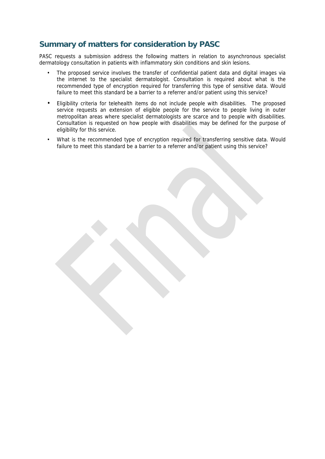# **Summary of matters for consideration by PASC**

PASC requests a submission address the following matters in relation to asynchronous specialist dermatology consultation in patients with inflammatory skin conditions and skin lesions.

- The proposed service involves the transfer of confidential patient data and digital images via the internet to the specialist dermatologist. Consultation is required about what is the recommended type of encryption required for transferring this type of sensitive data. Would failure to meet this standard be a barrier to a referrer and/or patient using this service?
- Eligibility criteria for telehealth items do not include people with disabilities. The proposed service requests an extension of eligible people for the service to people living in outer metropolitan areas where specialist dermatologists are scarce and to people with disabilities. Consultation is requested on how people with disabilities may be defined for the purpose of eligibility for this service.
- What is the recommended type of encryption required for transferring sensitive data. Would failure to meet this standard be a barrier to a referrer and/or patient using this service?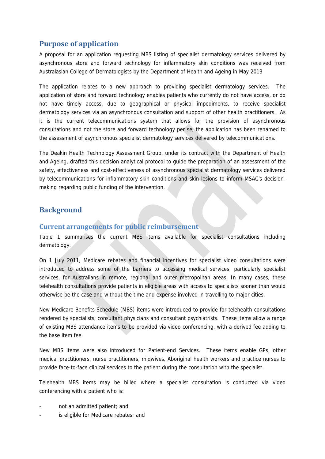# **Purpose of application**

A proposal for an application requesting MBS listing of specialist dermatology services delivered by asynchronous store and forward technology for inflammatory skin conditions was received from Australasian College of Dermatologists by the Department of Health and Ageing in May 2013

The application relates to a new approach to providing specialist dermatology services. The application of store and forward technology enables patients who currently do not have access, or do not have timely access, due to geographical or physical impediments, to receive specialist dermatology services via an asynchronous consultation and support of other health practitioners. As it is the current telecommunications system that allows for the provision of asynchronous consultations and not the store and forward technology per se, the application has been renamed to the assessment of asynchronous specialist dermatology services delivered by telecommunications.

The Deakin Health Technology Assessment Group, under its contract with the Department of Health and Ageing, drafted this decision analytical protocol to guide the preparation of an assessment of the safety, effectiveness and cost-effectiveness of asynchronous specialist dermatology services delivered by telecommunications for inflammatory skin conditions and skin lesions to inform MSAC's decisionmaking regarding public funding of the intervention.

# **Background**

# **Current arrangements for public reimbursement**

Table 1 summarises the current MBS items available for specialist consultations including dermatology.

On 1 July 2011, Medicare rebates and financial incentives for specialist video consultations were introduced to address some of the barriers to accessing medical services, particularly specialist services, for Australians in remote, regional and outer metropolitan areas. In many cases, these telehealth consultations provide patients in eligible areas with access to specialists sooner than would otherwise be the case and without the time and expense involved in travelling to major cities.

New Medicare Benefits Schedule (MBS) items were introduced to provide for telehealth consultations rendered by specialists, consultant physicians and consultant psychiatrists. These items allow a range of existing MBS attendance items to be provided via video conferencing, with a derived fee adding to the base item fee.

New MBS items were also introduced for Patient-end Services. These items enable GPs, other medical practitioners, nurse practitioners, midwives, Aboriginal health workers and practice nurses to provide face-to-face clinical services to the patient during the consultation with the specialist.

Telehealth MBS items may be billed where a specialist consultation is conducted via video conferencing with a patient who is:

- not an admitted patient; and
- is eligible for Medicare rebates; and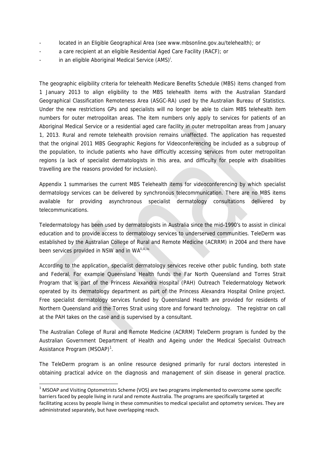- located in an Eligible Geographical Area (see www.mbsonline.gov.au/telehealth); or
- a care recipient at an eligible Residential Aged Care Facility (RACF); or
- in an eligible Aboriginal Medical Service (AMS)<sup>i</sup>.

The geographic eligibility criteria for telehealth Medicare Benefits Schedule (MBS) items changed from 1 January 2013 to align eligibility to the MBS telehealth items with the Australian Standard Geographical Classification Remoteness Area (ASGC-RA) used by the Australian Bureau of Statistics. Under the new restrictions GPs and specialists will no longer be able to claim MBS telehealth item numbers for outer metropolitan areas. The item numbers only apply to services for patients of an Aboriginal Medical Service or a residential aged care facility in outer metropolitan areas from January 1, 2013. Rural and remote telehealth provision remains unaffected. The application has requested that the original 2011 MBS Geographic Regions for Videoconferencing be included as a subgroup of the population, to include patients who have difficultly accessing services from outer metropolitan regions (a lack of specialist dermatologists in this area, and difficulty for people with disabilities travelling are the reasons provided for inclusion).

Appendix 1 summarises the current MBS Telehealth items for videoconferencing by which specialist dermatology services can be delivered by synchronous telecommunication. There are no MBS items available for providing asynchronous specialist dermatology consultations delivered by telecommunications.

Teledermatology has been used by dermatologists in Australia since the mid-1990's to assist in clinical education and to provide access to dermatology services to underserved communities. TeleDerm was established by the Australian College of Rural and Remote Medicine (ACRRM) in 2004 and there have been services provided in NSW and in WA<sup>ii, iii, iv.</sup>

According to the application, specialist dermatology services receive other public funding, both state and Federal. For example Queensland Health funds the Far North Queensland and Torres Strait Program that is part of the Princess Alexandra Hospital (PAH) Outreach Teledermatology Network operated by its dermatology department as part of the Princess Alexandra Hospital Online project. Free specialist dermatology services funded by Queensland Health are provided for residents of Northern Queensland and the Torres Strait using store and forward technology. The registrar on call at the PAH takes on the case and is supervised by a consultant.

The Australian College of Rural and Remote Medicine (ACRRM) TeleDerm program is funded by the Australian Government Department of Health and Ageing under the Medical Specialist Outreach Assistance Program (MSOAP)<sup>1</sup>.

The TeleDerm program is an online resource designed primarily for rural doctors interested in obtaining practical advice on the diagnosis and management of skin disease in general practice.

-

 $1$  MSOAP and Visiting Optometrists Scheme (VOS) are two programs implemented to overcome some specific barriers faced by people living in rural and remote Australia. The programs are specifically targeted at facilitating access by people living in these communities to medical specialist and optometry services. They are administrated separately, but have overlapping reach.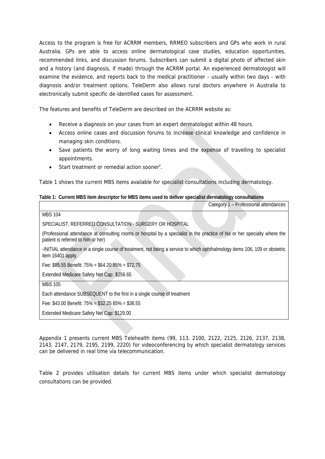Access to the program is free for ACRRM members, RRMEO subscribers and GPs who work in rural Australia. GPs are able to access online dermatological case studies, education opportunities, recommended links, and discussion forums. Subscribers can submit a digital photo of affected skin and a history (and diagnosis, if made) through the ACRRM portal. An experienced dermatologist will examine the evidence, and reports back to the medical practitioner - usually within two days - with diagnosis and/or treatment options. TeleDerm also allows rural doctors anywhere in Australia to electronically submit specific de-identified cases for assessment.

The features and benefits of TeleDerm are described on the ACRRM website as:

- Receive a diagnosis on your cases from an expert dermatologist within 48 hours.
- Access online cases and discussion forums to increase clinical knowledge and confidence in managing skin conditions.
- Save patients the worry of long waiting times and the expense of travelling to specialist appointments.
- Start treatment or remedial action sooner<sup>v</sup>.

Table 1 shows the current MBS items available for specialist consultations including dermatology.

#### **Table 1: Current MBS item descriptor for MBS items used to deliver specialist dermatology consultations**

| Category 1 - Professional attendances                                                                                                                            |
|------------------------------------------------------------------------------------------------------------------------------------------------------------------|
| <b>MBS 104</b>                                                                                                                                                   |
| SPECIALIST, REFERRED CONSULTATION - SURGERY OR HOSPITAL                                                                                                          |
| (Professional attendance at consulting rooms or hospital by a specialist in the practice of his or her specialty where the<br>patient is referred to him or her) |
| -INITIAL attendance in a single course of treatment, not being a service to which ophthalmology items 106, 109 or obstetric<br>item 16401 apply.                 |
| Fee: \$85.55 Benefit: $75\% = $64.2085\% = $72.75$                                                                                                               |
| Extended Medicare Safety Net Cap: \$256.65                                                                                                                       |
| <b>MBS 105</b>                                                                                                                                                   |
| Each attendance SUBSEQUENT to the first in a single course of treatment                                                                                          |
| Fee: \$43.00 Benefit: $75\% = $32.2586\% = $36.55$                                                                                                               |
| Extended Medicare Safety Net Cap: \$129.00                                                                                                                       |
|                                                                                                                                                                  |

Appendix 1 presents current MBS Telehealth items (99, 113, 2100, 2122, 2125, 2126, 2137, 2138, 2143, 2147, 2179, 2195, 2199, 2220) for videoconferencing by which specialist dermatology services can be delivered in real time via telecommunication.

Table 2 provides utilisation details for current MBS items under which specialist dermatology consultations can be provided.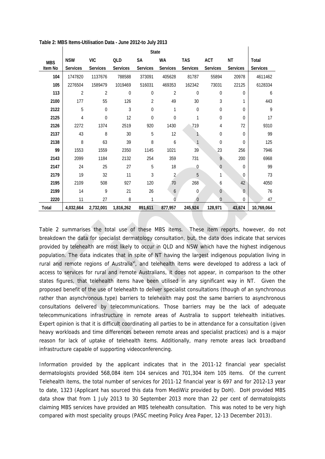|            | <b>State</b>    |                 |                 |                 |                 |                  |                 |                 |                 |
|------------|-----------------|-----------------|-----------------|-----------------|-----------------|------------------|-----------------|-----------------|-----------------|
| <b>MBS</b> | <b>NSW</b>      | VIC             | QLD             | SA              | WA              | TAS              | ACT             | ΝT              | Total           |
| Item No    | <b>Services</b> | <b>Services</b> | <b>Services</b> | <b>Services</b> | <b>Services</b> | <b>Services</b>  | <b>Services</b> | <b>Services</b> | <b>Services</b> |
| 104        | 1747820         | 1137676         | 788588          | 373091          | 405628          | 81787            | 55894           | 20978           | 4611462         |
| 105        | 2276504         | 1589479         | 1019469         | 516031          | 469353          | 162342           | 73031           | 22125           | 6128334         |
| 113        | $\overline{2}$  | $\overline{2}$  | $\mathbf{0}$    | $\mathbf 0$     | $\overline{2}$  | 0                | $\overline{0}$  | $\Omega$        | 6               |
| 2100       | 177             | 55              | 126             | 2               | 49              | 30               | 3               |                 | 443             |
| 2122       | 5               | $\overline{0}$  | 3               | 0               | 1               | $\boldsymbol{0}$ | $\overline{0}$  | $\Omega$        | 9               |
| 2125       | 4               | $\theta$        | 12              | $\Omega$        | $\theta$        | 1                | $\overline{0}$  | $\Omega$        | 17              |
| 2126       | 2272            | 1374            | 2519            | 920             | 1430            | 719              | 4               | 72              | 9310            |
| 2137       | 43              | 8               | 30              | 5               | 12              | 1                | $\mathbf{0}$    | $\Omega$        | 99              |
| 2138       | 8               | 63              | 39              | 8               | 6               | 1                | $\mathbf{0}$    | $\Omega$        | 125             |
| 99         | 1553            | 1559            | 2350            | 1145            | 1021            | 39               | 23              | 256             | 7946            |
| 2143       | 2099            | 1184            | 2132            | 254             | 359             | 731              | 9               | 200             | 6968            |
| 2147       | 24              | 25              | 27              | 5               | 18              | $\boldsymbol{0}$ | $\mathbf{0}$    | $\Omega$        | 99              |
| 2179       | 19              | 32              | 11              | 3               | $\overline{2}$  | 5                | 1               | $\Omega$        | 73              |
| 2195       | 2109            | 508             | 927             | 120             | 70              | 268              | 6               | 42              | 4050            |
| 2199       | 14              | 9               | 21              | 26              | 6               | $\boldsymbol{0}$ | $\overline{0}$  | $\Omega$        | 76              |
| 2220       | 11              | 27              | 8               |                 | 0               | $\overline{0}$   | $\Omega$        | $\Omega$        | 47              |
| Total      | 4,032,664       | 2,732,001       | 1,816,262       | 891,611         | 877,957         | 245,924          | 128,971         | 43,674          | 10,769,064      |

 $\mathbf{I}$ 

**Table 2: MBS Items-Utilisation Data - June 2012-to July 2013** 

Table 2 summarises the total use of these MBS items. These item reports, however, do not breakdown the data for specialist dermatology consultation, but, the data does indicate that services provided by telehealth are most likely to occur in QLD and NSW which have the highest indigenous population. The data indicates that in spite of NT having the largest indigenous population living in rural and remote regions of Australia<sup>vi</sup>, and telehealth items were developed to address a lack of access to services for rural and remote Australians, it does not appear, in comparison to the other states figures, that telehealth items have been utilised in any significant way in NT. Given the proposed benefit of the use of telehealth to deliver specialist consultations (though of an synchronous rather than asynchronous type) barriers to telehealth may post the same barriers to asynchronous consultations delivered by telecommunications. Those barriers may be the lack of adequate telecommunications infrastructure in remote areas of Australia to support telehealth initiatives. Expert opinion is that it is difficult coordinating all parties to be in attendance for a consultation (given heavy workloads and time differences between remote areas and specialist practices) and is a major reason for lack of uptake of telehealth items. Additionally, many remote areas lack broadband infrastructure capable of supporting videoconferencing.

Information provided by the applicant indicates that in the 2011-12 financial year specialist dermatologists provided 568,084 item 104 services and 701,304 item 105 items. Of the current Telehealth items, the total number of services for 2011-12 financial year is 697 and for 2012-13 year to date, 1323 (Applicant has sourced this data from MediWiz provided by DoH). DoH provided MBS data show that from 1 July 2013 to 30 September 2013 more than 22 per cent of dermatologists claiming MBS services have provided an MBS telehealth consultation. This was noted to be very high compared with most speciality groups (PASC meeting Policy Area Paper, 12-13 December 2013).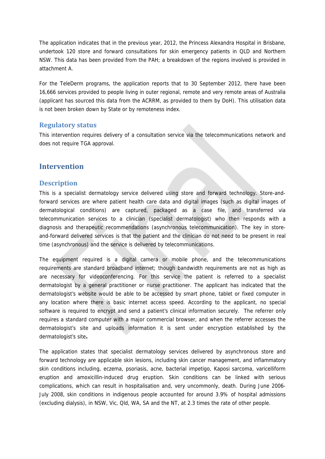The application indicates that in the previous year, 2012, the Princess Alexandra Hospital in Brisbane, undertook 120 store and forward consultations for skin emergency patients in QLD and Northern NSW. This data has been provided from the PAH; a breakdown of the regions involved is provided in attachment A.

For the TeleDerm programs, the application reports that to 30 September 2012, there have been 16,666 services provided to people living in outer regional, remote and very remote areas of Australia (applicant has sourced this data from the ACRRM, as provided to them by DoH). This utilisation data is not been broken down by State or by remoteness index.

### **Regulatory status**

This intervention requires delivery of a consultation service via the telecommunications network and does not require TGA approval.

# **Intervention**

### **Description**

This is a specialist dermatology service delivered using store and forward technology. Store-andforward services are where patient health care data and digital images (such as digital images of dermatological conditions) are captured, packaged as a case file, and transferred via telecommunication services to a clinician (specialist dermatologist) who then responds with a diagnosis and therapeutic recommendations (asynchronous telecommunication). The key in storeand-forward delivered services is that the patient and the clinician do not need to be present in real time (asynchronous) and the service is delivered by telecommunications.

The equipment required is a digital camera or mobile phone, and the telecommunications requirements are standard broadband internet; though bandwidth requirements are not as high as are necessary for videoconferencing. For this service the patient is referred to a specialist dermatologist by a general practitioner or nurse practitioner. The applicant has indicated that the dermatologist's website would be able to be accessed by smart phone, tablet or fixed computer in any location where there is basic internet access speed. According to the applicant, no special software is required to encrypt and send a patient's clinical information securely. The referrer only requires a standard computer with a major commercial browser, and when the referrer accesses the dermatologist's site and uploads information it is sent under encryption established by the dermatologist's site**.** 

The application states that specialist dermatology services delivered by asynchronous store and forward technology are applicable skin lesions, including skin cancer management, and inflammatory skin conditions including, eczema, psoriasis, acne, bacterial impetigo, Kaposi sarcoma, varicelliform eruption and amoxicillin-induced drug eruption. Skin conditions can be linked with serious complications, which can result in hospitalisation and, very uncommonly, death. During June 2006- July 2008, skin conditions in indigenous people accounted for around 3.9% of hospital admissions (excluding dialysis), in NSW, Vic, Qld, WA, SA and the NT, at 2.3 times the rate of other people.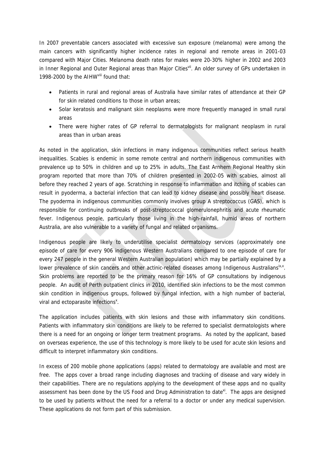In 2007 preventable cancers associated with excessive sun exposure (melanoma) were among the main cancers with significantly higher incidence rates in regional and remote areas in 2001-03 compared with Major Cities. Melanoma death rates for males were 20-30% higher in 2002 and 2003 in Inner Regional and Outer Regional areas than Major Citiesvil. An older survey of GPs undertaken in 1998-2000 by the AIHW<sup>viii</sup> found that:

- Patients in rural and regional areas of Australia have similar rates of attendance at their GP for skin related conditions to those in urban areas;
- Solar keratosis and malignant skin neoplasms were more frequently managed in small rural areas
- There were higher rates of GP referral to dermatologists for malignant neoplasm in rural areas than in urban areas

As noted in the application, skin infections in many indigenous communities reflect serious health inequalities. Scabies is endemic in some remote central and northern indigenous communities with prevalence up to 50% in children and up to 25% in adults. The East Arnhem Regional Healthy skin program reported that more than 70% of children presented in 2002-05 with scabies, almost all before they reached 2 years of age. Scratching in response to inflammation and itching of scabies can result in pyoderma, a bacterial infection that can lead to kidney disease and possibly heart disease. The pyoderma in indigenous communities commonly involves group A streptococcus (GAS), which is responsible for continuing outbreaks of post-streptococcal glomerulonephritis and acute rheumatic fever. Indigenous people, particularly those living in the high-rainfall, humid areas of northern Australia, are also vulnerable to a variety of fungal and related organisms.

Indigenous people are likely to underutilise specialist dermatology services (approximately one episode of care for every 906 indigenous Western Australians compared to one episode of care for every 247 people in the general Western Australian population) which may be partially explained by a lower prevalence of skin cancers and other actinic-related diseases among Indigenous Australians ${}^{ix}$ . Skin problems are reported to be the primary reason for 16% of GP consultations by indigenous people. An audit of Perth outpatient clinics in 2010, identified skin infections to be the most common skin condition in indigenous groups, followed by fungal infection, with a high number of bacterial, viral and ectoparasite infections<sup>x</sup>.

The application includes patients with skin lesions and those with inflammatory skin conditions. Patients with inflammatory skin conditions are likely to be referred to specialist dermatologists where there is a need for an ongoing or longer term treatment programs. As noted by the applicant, based on overseas experience, the use of this technology is more likely to be used for acute skin lesions and difficult to interpret inflammatory skin conditions.

In excess of 200 mobile phone applications (apps) related to dermatology are available and most are free. The apps cover a broad range including diagnoses and tracking of disease and vary widely in their capabilities. There are no regulations applying to the development of these apps and no quality assessment has been done by the US Food and Drug Administration to date<sup>xi</sup>. The apps are designed to be used by patients without the need for a referral to a doctor or under any medical supervision. These applications do not form part of this submission.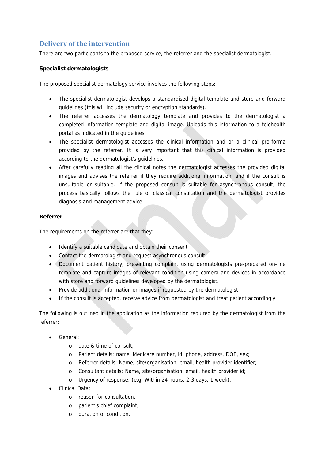# **Delivery of the intervention**

There are two participants to the proposed service, the referrer and the specialist dermatologist.

### **Specialist dermatologists**

The proposed specialist dermatology service involves the following steps:

- The specialist dermatologist develops a standardised digital template and store and forward guidelines (this will include security or encryption standards).
- The referrer accesses the dermatology template and provides to the dermatologist a completed information template and digital image. Uploads this information to a telehealth portal as indicated in the guidelines.
- The specialist dermatologist accesses the clinical information and or a clinical pro-forma provided by the referrer. It is very important that this clinical information is provided according to the dermatologist's guidelines.
- After carefully reading all the clinical notes the dermatologist accesses the provided digital images and advises the referrer if they require additional information, and if the consult is unsuitable or suitable. If the proposed consult is suitable for asynchronous consult, the process basically follows the rule of classical consultation and the dermatologist provides diagnosis and management advice.

### **Referrer**

The requirements on the referrer are that they:

- Identify a suitable candidate and obtain their consent
- Contact the dermatologist and request asynchronous consult
- Document patient history, presenting complaint using dermatologists pre-prepared on-line template and capture images of relevant condition using camera and devices in accordance with store and forward guidelines developed by the dermatologist.
- Provide additional information or images if requested by the dermatologist
- If the consult is accepted, receive advice from dermatologist and treat patient accordingly.

The following is outlined in the application as the information required by the dermatologist from the referrer:

- General:
	- o date & time of consult;
	- o Patient details: name, Medicare number, id, phone, address, DOB, sex;
	- o Referrer details: Name, site/organisation, email, health provider identifier;
	- o Consultant details: Name, site/organisation, email, health provider id;
	- o Urgency of response: (e.g. Within 24 hours, 2-3 days, 1 week);
- Clinical Data:
	- o reason for consultation,
	- o patient's chief complaint,
	- o duration of condition,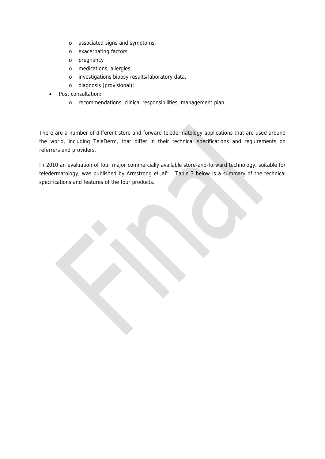- o associated signs and symptoms,
- o exacerbating factors,
- o pregnancy
- o medications, allergies,
- o investigations biopsy results/laboratory data,
- o diagnosis (provisional);
- Post consultation:
	- o recommendations, clinical responsibilities, management plan.

There are a number of different store and forward teledermatology applications that are used around the world, including TeleDerm, that differ in their technical specifications and requirements on referrers and providers.

In 2010 an evaluation of four major commercially available store-and-forward technology, suitable for teledermatology, was published by Armstrong et., alxili. Table 3 below is a summary of the technical specifications and features of the four products.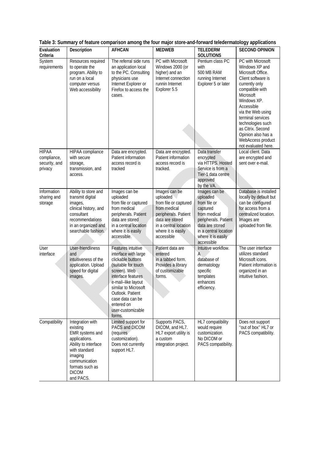| Evaluation<br>Criteria                                  | Description                                                                                                                                                                           | <b>AFHCAN</b>                                                                                                                                                                                                                                                   | <b>MEDWEB</b>                                                                                                                                                              | <b>TELEDERM</b><br><b>SOLUTIONS</b>                                                                                                                                           | <b>SECOND OPINION</b>                                                                                                                                                                                                                                                                                               |
|---------------------------------------------------------|---------------------------------------------------------------------------------------------------------------------------------------------------------------------------------------|-----------------------------------------------------------------------------------------------------------------------------------------------------------------------------------------------------------------------------------------------------------------|----------------------------------------------------------------------------------------------------------------------------------------------------------------------------|-------------------------------------------------------------------------------------------------------------------------------------------------------------------------------|---------------------------------------------------------------------------------------------------------------------------------------------------------------------------------------------------------------------------------------------------------------------------------------------------------------------|
| System<br>requirements                                  | Resources required<br>to operate the<br>program. Ability to<br>run on a local<br>computer versus<br>Web accessibility                                                                 | The referral side runs<br>an application local<br>to the PC. Consulting<br>physicians use<br>Internet Explorer or<br>Firefox to access the<br>cases.                                                                                                            | PC with Microsoft<br>Windows 2000 (or<br>higher) and an<br>Internet connection<br>runnin Internet<br>Explorer 5.5                                                          | Pentium class PC<br>with<br><b>500 MB RAM</b><br>running Internet<br>Explorer 5 or later                                                                                      | PC with Microsoft<br>Windows XP and<br>Microsoft Office.<br>Client software is<br>currently only<br>compatible with<br>Microsoft<br>Windows XP.<br>Accessible<br>via the Web using<br>terminal services<br>technologies such<br>as Citrix. Second<br>Opinion also has a<br>WebAccess product<br>not evaluated here. |
| <b>HIPAA</b><br>compliance,<br>security, and<br>privacy | HIPAA compliance<br>with secure<br>storage,<br>transmission, and<br>access.                                                                                                           | Data are encrypted.<br>Patient information<br>access record is<br>tracked                                                                                                                                                                                       | Data are encrypted.<br>Patient information<br>access record is<br>tracked.                                                                                                 | Data transfer<br>encrypted<br>via HTTPS. Hosted<br>Service is from a<br>Tier-1 data centre<br>approved<br>by the VA.                                                          | Local client. Data<br>are encrypted and<br>sent over e-mail.                                                                                                                                                                                                                                                        |
| Information<br>sharing and<br>storage                   | Ability to store and<br>transmit digital<br>images,<br>clinical history, and<br>consultant<br>recommendations<br>in an organized and<br>searchable fashion.                           | Images can be<br>uploaded<br>from file or captured<br>from medical<br>peripherals. Patient<br>data are stored<br>in a central location<br>where it is easily<br>accessible.                                                                                     | Images can be<br>uploaded<br>from file or captured<br>from medical<br>peripherals. Patient<br>data are stored<br>in a central location<br>where it is easily<br>accessible | Images can be<br>uploaded<br>from file or<br>captured<br>from medical<br>peripherals. Patient<br>data are stored<br>in a central location<br>where it is easily<br>accessible | Database is installed<br>locally by default but<br>can be configured<br>for access from a<br>centralized location.<br>Images are<br>uploaded from file.                                                                                                                                                             |
| User<br>interface                                       | User-friendliness<br>and<br>intuitiveness of the<br>application. Upload<br>speed for digital<br>images.                                                                               | Features intuitive<br>interface with large<br>clickable buttons<br>(suitable for touch<br>screen). Web<br>interface features<br>e-mail-like layout<br>similar to Microsoft<br>Outlook. Patient<br>case data can be<br>entered on<br>user-customizable<br>forms. | Patient data are<br>entered<br>in a tabbed form.<br>Provides a library<br>of customizable<br>forms.                                                                        | Intuitive workflow.<br>А<br>database of<br>dermatology<br>specific<br>templates<br>enhances<br>efficiency.                                                                    | The user interface<br>utilizes standard<br>Microsoft icons.<br>Patient information is<br>organized in an<br>intuitive fashion.                                                                                                                                                                                      |
| Compatibility                                           | Integration with<br>existing<br>EMR systems and<br>applications.<br>Ability to interface<br>with standard<br>imaging<br>communication<br>formats such as<br><b>DICOM</b><br>and PACS. | Limited support for<br>PACS and DICOM<br>(requires<br>customization).<br>Does not currently<br>support HL7.                                                                                                                                                     | Supports PACS,<br>DICOM, and HL7.<br>HL7 export utility is<br>a custom<br>integration project.                                                                             | HL7 compatibility<br>would require<br>customization.<br>No DICOM or<br>PACS compatibility.                                                                                    | Does not support<br>"out of box" HL7 or<br>PACS compatibility.                                                                                                                                                                                                                                                      |

**Table 3: Summary of feature comparison among the four major store-and-forward teledermatology applications**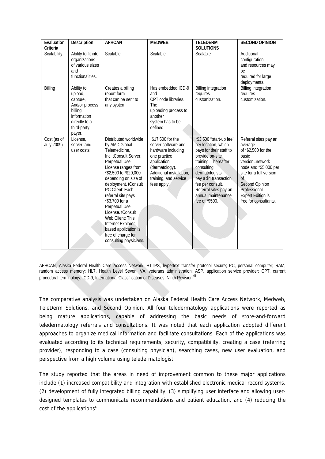| Evaluation<br>Criteria           | Description                                                                                                             | <b>AFHCAN</b>                                                                                                                                                                                                                                                                                                                                                                                                        | <b>MEDWEB</b>                                                                                                                                                                       | <b>TELEDERM</b><br><b>SOLUTIONS</b>                                                                                                                                                                                                                                 | <b>SECOND OPINION</b>                                                                                                                                                                                                                              |
|----------------------------------|-------------------------------------------------------------------------------------------------------------------------|----------------------------------------------------------------------------------------------------------------------------------------------------------------------------------------------------------------------------------------------------------------------------------------------------------------------------------------------------------------------------------------------------------------------|-------------------------------------------------------------------------------------------------------------------------------------------------------------------------------------|---------------------------------------------------------------------------------------------------------------------------------------------------------------------------------------------------------------------------------------------------------------------|----------------------------------------------------------------------------------------------------------------------------------------------------------------------------------------------------------------------------------------------------|
| Scalability                      | Ability to fit into<br>organizations<br>of various sizes<br>and<br>functionalities.                                     | Scalable                                                                                                                                                                                                                                                                                                                                                                                                             | Scalable                                                                                                                                                                            | Scalable                                                                                                                                                                                                                                                            | Additional<br>configuration<br>and resources may<br>be<br>required for large<br>deployments.                                                                                                                                                       |
| Billing                          | Ability to<br>upload,<br>capture,<br>And/or process<br>billing<br>information<br>directly to a<br>third-party<br>payer. | Creates a billing<br>report form<br>that can be sent to<br>any system.                                                                                                                                                                                                                                                                                                                                               | Has embedded ICD-9<br>and<br>CPT code libraries.<br><b>The</b><br>uploading process to<br>another<br>system has to be<br>defined.                                                   | <b>Billing integration</b><br>requires<br>customization.                                                                                                                                                                                                            | <b>Billing integration</b><br>requires<br>customization.                                                                                                                                                                                           |
| Cost (as of<br><b>July 2009)</b> | License,<br>server, and<br>user costs                                                                                   | Distributed worldwide<br>by AMD Global<br>Telemedicine.<br>Inc. tConsult Server:<br>Perpetual Use<br>License ranges from<br>*\$2,500 to *\$20,000<br>depending on size of<br>deployment. tConsult<br>PC Client: Each<br>referral site pays<br>*\$3,700 for a<br>Perpetual Use<br>License. tConsult<br>Web Client: This<br>Internet Explorer-<br>based application is<br>free of charge for<br>consulting physicians. | *\$17,500 for the<br>server software and<br>hardware including<br>one practice<br>application<br>(dermatology).<br>Additional installation,<br>training, and service<br>fees apply. | *\$3,500 "start-up fee"<br>per location, which<br>pays for their staff to<br>provide on-site<br>training. Thereafter,<br>consulting<br>dermatologists<br>pay a \$4 transaction<br>fee per consult.<br>Referral sites pay an<br>annual maintenance<br>fee of *\$500. | Referral sites pay an<br>average<br>of *\$2,500 for the<br><b>basic</b><br>version=network<br>node and *\$5,000 per<br>site for a full version<br>$\sigma$<br>Second Opinion<br>Professional.<br><b>Expert Edition is</b><br>free for consultants. |

AFHCAN, Alaska Federal Health Care Access Network; HTTPS, hypertext transfer protocol secure; PC, personal computer; RAM, random access memory; HL7, Health Level Seven; VA, veterans administration; ASP, application service provider; CPT, current procedural terminology; ICD-9, International Classification of Diseases, Ninth Revision<sup>xii</sup>

The comparative analysis was undertaken on Alaska Federal Health Care Access Network, Medweb, TeleDerm Solutions, and Second Opinion. All four teledermatology applications were reported as being mature applications, capable of addressing the basic needs of store-and-forward teledermatology referrals and consultations. It was noted that each application adopted different approaches to organize medical information and facilitate consultations. Each of the applications was evaluated according to its technical requirements, security, compatibility, creating a case (referring provider), responding to a case (consulting physician), searching cases, new user evaluation, and perspective from a high volume using teledermatologist.

The study reported that the areas in need of improvement common to these major applications include (1) increased compatibility and integration with established electronic medical record systems, (2) development of fully integrated billing capability, (3) simplifying user interface and allowing userdesigned templates to communicate recommendations and patient education, and (4) reducing the cost of the applications<sup>xii</sup>.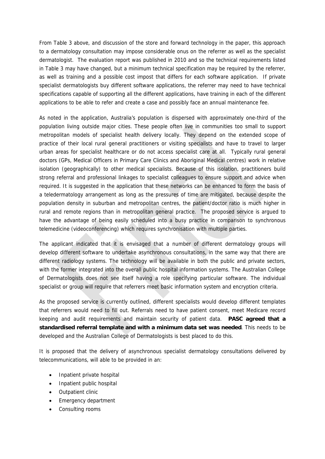From Table 3 above, and discussion of the store and forward technology in the paper, this approach to a dermatology consultation may impose considerable onus on the referrer as well as the specialist dermatologist. The evaluation report was published in 2010 and so the technical requirements listed in Table 3 may have changed, but a minimum technical specification may be required by the referrer, as well as training and a possible cost impost that differs for each software application. If private specialist dermatologists buy different software applications, the referrer may need to have technical specifications capable of supporting all the different applications, have training in each of the different applications to be able to refer and create a case and possibly face an annual maintenance fee.

As noted in the application, Australia's population is dispersed with approximately one-third of the population living outside major cities. These people often live in communities too small to support metropolitan models of specialist health delivery locally. They depend on the extended scope of practice of their local rural general practitioners or visiting specialists and have to travel to larger urban areas for specialist healthcare or do not access specialist care at all. Typically rural general doctors (GPs, Medical Officers in Primary Care Clinics and Aboriginal Medical centres) work in relative isolation (geographically) to other medical specialists. Because of this isolation, practitioners build strong referral and professional linkages to specialist colleagues to ensure support and advice when required. It is suggested in the application that these networks can be enhanced to form the basis of a teledermatology arrangement as long as the pressures of time are mitigated, because despite the population density in suburban and metropolitan centres, the patient/doctor ratio is much higher in rural and remote regions than in metropolitan general practice. The proposed service is argued to have the advantage of being easily scheduled into a busy practice in comparison to synchronous telemedicine (videoconferencing) which requires synchronisation with multiple parties.

The applicant indicated that it is envisaged that a number of different dermatology groups will develop different software to undertake asynchronous consultations, in the same way that there are different radiology systems. The technology will be available in both the public and private sectors, with the former integrated into the overall public hospital information systems. The Australian College of Dermatologists does not see itself having a role specifying particular software. The individual specialist or group will require that referrers meet basic information system and encryption criteria.

As the proposed service is currently outlined, different specialists would develop different templates that referrers would need to fill out. Referrals need to have patient consent, meet Medicare record keeping and audit requirements and maintain security of patient data. **PASC agreed that a standardised referral template and with a minimum data set was needed**. This needs to be developed and the Australian College of Dermatologists is best placed to do this.

It is proposed that the delivery of asynchronous specialist dermatology consultations delivered by telecommunications, will able to be provided in an:

- Inpatient private hospital
- Inpatient public hospital
- Outpatient clinic
- Emergency department
- Consulting rooms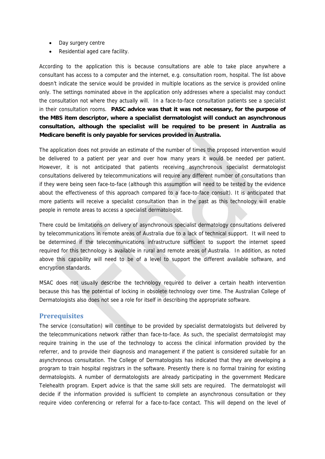- Day surgery centre
- Residential aged care facility.

According to the application this is because consultations are able to take place anywhere a consultant has access to a computer and the internet, e.g. consultation room, hospital. The list above doesn't indicate the service would be provided in multiple locations as the service is provided online only. The settings nominated above in the application only addresses where a specialist may conduct the consultation not where they actually will. In a face-to-face consultation patients see a specialist in their consultation rooms. **PASC advice was that it was not necessary, for the purpose of the MBS item descriptor, where a specialist dermatologist will conduct an asynchronous consultation, although the specialist will be required to be present in Australia as Medicare benefit is only payable for services provided in Australia.**

The application does not provide an estimate of the number of times the proposed intervention would be delivered to a patient per year and over how many years it would be needed per patient. However, it is not anticipated that patients receiving asynchronous specialist dermatologist consultations delivered by telecommunications will require any different number of consultations than if they were being seen face-to-face (although this assumption will need to be tested by the evidence about the effectiveness of this approach compared to a face-to-face consult). It is anticipated that more patients will receive a specialist consultation than in the past as this technology will enable people in remote areas to access a specialist dermatologist.

There could be limitations on delivery of asynchronous specialist dermatology consultations delivered by telecommunications in remote areas of Australia due to a lack of technical support. It will need to be determined if the telecommunications infrastructure sufficient to support the internet speed required for this technology is available in rural and remote areas of Australia. In addition, as noted above this capability will need to be of a level to support the different available software, and encryption standards.

MSAC does not usually describe the technology required to deliver a certain health intervention because this has the potential of locking in obsolete technology over time. The Australian College of Dermatologists also does not see a role for itself in describing the appropriate software.

### **Prerequisites**

The service (consultation) will continue to be provided by specialist dermatologists but delivered by the telecommunications network rather than face-to-face. As such, the specialist dermatologist may require training in the use of the technology to access the clinical information provided by the referrer, and to provide their diagnosis and management if the patient is considered suitable for an asynchronous consultation. The College of Dermatologists has indicated that they are developing a program to train hospital registrars in the software. Presently there is no formal training for existing dermatologists. A number of dermatologists are already participating in the government Medicare Telehealth program. Expert advice is that the same skill sets are required. The dermatologist will decide if the information provided is sufficient to complete an asynchronous consultation or they require video conferencing or referral for a face-to-face contact. This will depend on the level of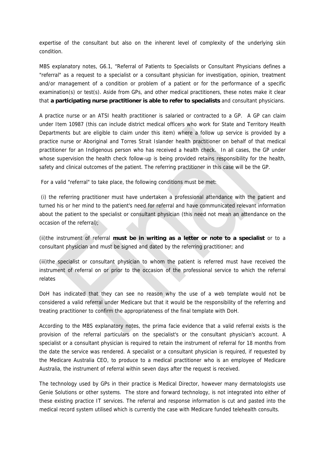expertise of the consultant but also on the inherent level of complexity of the underlying skin condition.

MBS explanatory notes, G6.1, "Referral of Patients to Specialists or Consultant Physicians defines a "referral" as a request to a specialist or a consultant physician for investigation, opinion, treatment and/or management of a condition or problem of a patient or for the performance of a specific examination(s) or test(s). Aside from GPs, and other medical practitioners, these notes make it clear that **a participating nurse practitioner is able to refer to specialists** and consultant physicians.

A practice nurse or an ATSI health practitioner is salaried or contracted to a GP. A GP can claim under Item 10987 (this can include district medical officers who work for State and Territory Health Departments but are eligible to claim under this item) where a follow up service is provided by a practice nurse or Aboriginal and Torres Strait Islander health practitioner on behalf of that medical practitioner for an Indigenous person who has received a health check. In all cases, the GP under whose supervision the health check follow-up is being provided retains responsibility for the health, safety and clinical outcomes of the patient. The referring practitioner in this case will be the GP.

For a valid "referral" to take place, the following conditions must be met:

 (i) the referring practitioner must have undertaken a professional attendance with the patient and turned his or her mind to the patient's need for referral and have communicated relevant information about the patient to the specialist or consultant physician (this need not mean an attendance on the occasion of the referral);

(ii)the instrument of referral **must be in writing as a letter or note to a specialist** or to a consultant physician and must be signed and dated by the referring practitioner; and

(iii)the specialist or consultant physician to whom the patient is referred must have received the instrument of referral on or prior to the occasion of the professional service to which the referral relates

DoH has indicated that they can see no reason why the use of a web template would not be considered a valid referral under Medicare but that it would be the responsibility of the referring and treating practitioner to confirm the appropriateness of the final template with DoH.

According to the MBS explanatory notes, the prima facie evidence that a valid referral exists is the provision of the referral particulars on the specialist's or the consultant physician's account. A specialist or a consultant physician is required to retain the instrument of referral for 18 months from the date the service was rendered. A specialist or a consultant physician is required, if requested by the Medicare Australia CEO, to produce to a medical practitioner who is an employee of Medicare Australia, the instrument of referral within seven days after the request is received.

The technology used by GPs in their practice is Medical Director, however many dermatologists use Genie Solutions or other systems. The store and forward technology, is not integrated into either of these existing practice IT services. The referral and response information is cut and pasted into the medical record system utilised which is currently the case with Medicare funded telehealth consults.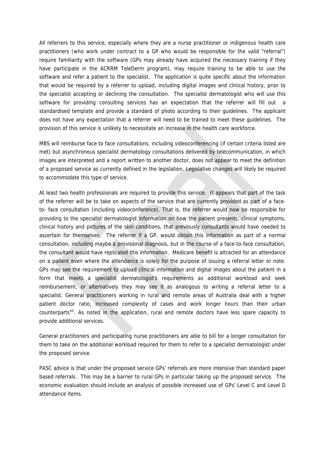All referrers to this service, especially where they are a nurse practitioner or indigenous health care practitioners (who work under contract to a GP who would be responsible for the valid "referral") require familiarity with the software (GPs may already have acquired the necessary training if they have participate in the ACRRM TeleDerm program), may require training to be able to use the software and refer a patient to the specialist. The application is quite specific about the information that would be required by a referrer to upload, including digital images and clinical history, prior to the specialist accepting or declining the consultation. The specialist dermatologist who will use this software for providing consulting services has an expectation that the referrer will fill out a standardised template and provide a standard of photo according to their guidelines. The applicant does not have any expectation that a referrer will need to be trained to meet these guidelines. The provision of this service is unlikely to necessitate an increase in the health care workforce.

MBS will reimburse face to face consultations, including videoconferencing (if certain criteria listed are met) but asynchronous specialist dermatology consultations delivered by telecommunication, in which images are interpreted and a report written to another doctor, does not appear to meet the definition of a proposed service as currently defined in the legislation. Legislative changes will likely be required to accommodate this type of service.

At least two health professionals are required to provide this service. It appears that part of the task of the referrer will be to take on aspects of the service that are currently provided as part of a faceto- face consultation (including videoconference). That is, the referrer would now be responsible for providing to the specialist dermatologist information on how the patient presents, clinical symptoms, clinical history and pictures of the skin conditions, that previously consultants would have needed to ascertain for themselves. The referrer if a GP, would obtain this information as part of a normal consultation, including maybe a provisional diagnosis, but in the course of a face-to-face consultation, the consultant would have replicated this information. Medicare benefit is attracted for an attendance on a patient even where the attendance is solely for the purpose of issuing a referral letter or note. GPs may see the requirement to upload clinical information and digital images about the patient in a form that meets a specialist dermatologist's requirements as additional workload and seek reimbursement, or alternatively they may see it as analogous to writing a referral letter to a specialist. General practitioners working in rural and remote areas of Australia deal with a higher patient doctor ratio, increased complexity of cases and work longer hours than their urban counterparts<sup>xiii</sup>. As noted in the application, rural and remote doctors have less spare capacity to provide additional services.

General practitioners and participating nurse practitioners are able to bill for a longer consultation for them to take on the additional workload required for them to refer to a specialist dermatologist under the proposed service.

PASC advice is that under the proposed service GPs' referrals are more intensive than standard paper based referrals. This may be a barrier to rural GPs in particular taking up the proposed service. The economic evaluation should include an analysis of possible increased use of GPs' Level C and Level D attendance items.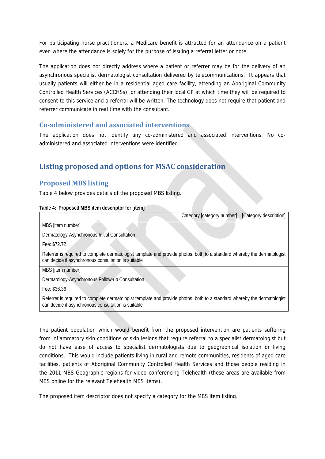For participating nurse practitioners, a Medicare benefit is attracted for an attendance on a patient even where the attendance is solely for the purpose of issuing a referral letter or note.

The application does not directly address where a patient or referrer may be for the delivery of an asynchronous specialist dermatologist consultation delivered by telecommunications. It appears that usually patients will either be in a residential aged care facility, attending an Aboriginal Community Controlled Health Services (ACCHSs), or attending their local GP at which time they will be required to consent to this service and a referral will be written. The technology does not require that patient and referrer communicate in real time with the consultant.

# **Co‐administered and associated interventions**

The application does not identify any co-administered and associated interventions. No coadministered and associated interventions were identified.

# **Listing proposed and options for MSAC consideration**

# **Proposed MBS listing**

Table 4 below provides details of the proposed MBS listing.

#### **Table 4: Proposed MBS item descriptor for [item]**

Category [category number] – [Category description]

MBS [item number]

Dermatology-Asynchronous Initial Consultation

Fee: \$72.72

Referrer is required to complete dermatologist template and provide photos, both to a standard whereby the dermatologist can decide if asynchronous consultation is suitable

MBS [item number]

Dermatology-Asynchronous Follow-up Consultation

Fee: \$36.36

Referrer is required to complete dermatologist template and provide photos, both to a standard whereby the dermatologist can decide if asynchronous consultation is suitable

The patient population which would benefit from the proposed intervention are patients suffering from inflammatory skin conditions or skin lesions that require referral to a specialist dermatologist but do not have ease of access to specialist dermatologists due to geographical isolation or living conditions. This would include patients living in rural and remote communities, residents of aged care facilities, patients of Aboriginal Community Controlled Health Services and those people residing in the 2011 MBS Geographic regions for video conferencing Telehealth (these areas are available from MBS online for the relevant Telehealth MBS items).

The proposed item descriptor does not specify a category for the MBS item listing.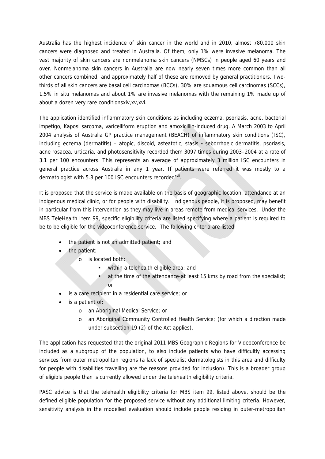Australia has the highest incidence of skin cancer in the world and in 2010, almost 780,000 skin cancers were diagnosed and treated in Australia. Of them, only 1% were invasive melanoma. The vast majority of skin cancers are nonmelanoma skin cancers (NMSCs) in people aged 60 years and over. Nonmelanoma skin cancers in Australia are now nearly seven times more common than all other cancers combined; and approximately half of these are removed by general practitioners. Twothirds of all skin cancers are basal cell carcinomas (BCCs), 30% are squamous cell carcinomas (SCCs), 1.5% in situ melanomas and about 1% are invasive melanomas with the remaining 1% made up of about a dozen very rare conditionsxiv, xv, xvi.

The application identified inflammatory skin conditions as including eczema, psoriasis, acne, bacterial impetigo, Kaposi sarcoma, varicelliform eruption and amoxicillin-induced drug. A March 2003 to April 2004 analysis of Australia GP practice management (BEACH) of inflammatory skin conditions (ISC), including eczema (dermatitis) – atopic, discoid, asteatotic, stasis **-** seborrhoeic dermatitis, psoriasis, acne rosacea, urticaria, and photosensitivity recorded them 3097 times during 2003–2004 at a rate of 3.1 per 100 encounters. This represents an average of approximately 3 million ISC encounters in general practice across Australia in any 1 year. If patients were referred it was mostly to a dermatologist with 5.8 per 100 ISC encounters recorded<sup>xvii</sup>.

It is proposed that the service is made available on the basis of geographic location, attendance at an indigenous medical clinic, or for people with disability. Indigenous people, it is proposed, may benefit in particular from this intervention as they may live in areas remote from medical services. Under the MBS TeleHealth Item 99, specific eligibility criteria are listed specifying where a patient is required to be to be eligible for the videoconference service. The following criteria are listed:

- the patient is not an admitted patient; and
- the patient:
	- o is located both:
		- within a telehealth eligible area; and
		- at the time of the attendance-at least 15 kms by road from the specialist; or
- is a care recipient in a residential care service; or
- is a patient of:
	- o an Aboriginal Medical Service; or
	- o an Aboriginal Community Controlled Health Service; (for which a direction made under subsection 19 (2) of the Act applies).

The application has requested that the original 2011 MBS Geographic Regions for Videoconference be included as a subgroup of the population, to also include patients who have difficultly accessing services from outer metropolitan regions (a lack of specialist dermatologists in this area and difficulty for people with disabilities travelling are the reasons provided for inclusion). This is a broader group of eligible people than is currently allowed under the telehealth eligibility criteria.

PASC advice is that the telehealth eligibility criteria for MBS item 99, listed above, should be the defined eligible population for the proposed service without any additional limiting criteria. However, sensitivity analysis in the modelled evaluation should include people residing in outer-metropolitan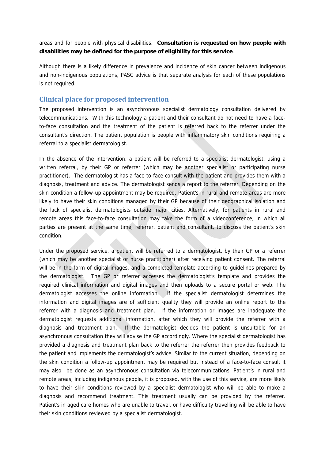areas and for people with physical disabilities. **Consultation is requested on how people with disabilities may be defined for the purpose of eligibility for this service**.

Although there is a likely difference in prevalence and incidence of skin cancer between indigenous and non-indigenous populations, PASC advice is that separate analysis for each of these populations is not required.

## **Clinical place for proposed intervention**

The proposed intervention is an asynchronous specialist dermatology consultation delivered by telecommunications. With this technology a patient and their consultant do not need to have a faceto-face consultation and the treatment of the patient is referred back to the referrer under the consultant's direction. The patient population is people with inflammatory skin conditions requiring a referral to a specialist dermatologist.

In the absence of the intervention, a patient will be referred to a specialist dermatologist, using a written referral, by their GP or referrer (which may be another specialist or participating nurse practitioner). The dermatologist has a face-to-face consult with the patient and provides them with a diagnosis, treatment and advice. The dermatologist sends a report to the referrer. Depending on the skin condition a follow-up appointment may be required. Patient's in rural and remote areas are more likely to have their skin conditions managed by their GP because of their geographical isolation and the lack of specialist dermatologists outside major cities. Alternatively, for patients in rural and remote areas this face-to-face consultation may take the form of a videoconference, in which all parties are present at the same time, referrer, patient and consultant, to discuss the patient's skin condition.

Under the proposed service, a patient will be referred to a dermatologist, by their GP or a referrer (which may be another specialist or nurse practitioner) after receiving patient consent. The referral will be in the form of digital images, and a completed template according to guidelines prepared by the dermatologist. The GP or referrer accesses the dermatologist's template and provides the required clinical information and digital images and then uploads to a secure portal or web. The dermatologist accesses the online information. If the specialist dermatologist determines the information and digital images are of sufficient quality they will provide an online report to the referrer with a diagnosis and treatment plan. If the information or images are inadequate the dermatologist requests additional information, after which they will provide the referrer with a diagnosis and treatment plan. If the dermatologist decides the patient is unsuitable for an asynchronous consultation they will advise the GP accordingly. Where the specialist dermatologist has provided a diagnosis and treatment plan back to the referrer the referrer then provides feedback to the patient and implements the dermatologist's advice. Similar to the current situation, depending on the skin condition a follow-up appointment may be required but instead of a face-to-face consult it may also be done as an asynchronous consultation via telecommunications. Patient's in rural and remote areas, including indigenous people, it is proposed, with the use of this service, are more likely to have their skin conditions reviewed by a specialist dermatologist who will be able to make a diagnosis and recommend treatment. This treatment usually can be provided by the referrer. Patient's in aged care homes who are unable to travel, or have difficulty travelling will be able to have their skin conditions reviewed by a specialist dermatologist.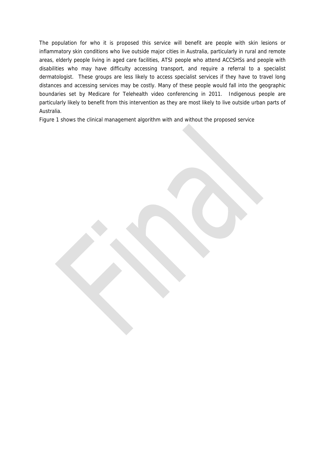The population for who it is proposed this service will benefit are people with skin lesions or inflammatory skin conditions who live outside major cities in Australia, particularly in rural and remote areas, elderly people living in aged care facilities, ATSI people who attend ACCSHSs and people with disabilities who may have difficulty accessing transport, and require a referral to a specialist dermatologist. These groups are less likely to access specialist services if they have to travel long distances and accessing services may be costly. Many of these people would fall into the geographic boundaries set by Medicare for Telehealth video conferencing in 2011. Indigenous people are particularly likely to benefit from this intervention as they are most likely to live outside urban parts of Australia.

Figure 1 shows the clinical management algorithm with and without the proposed service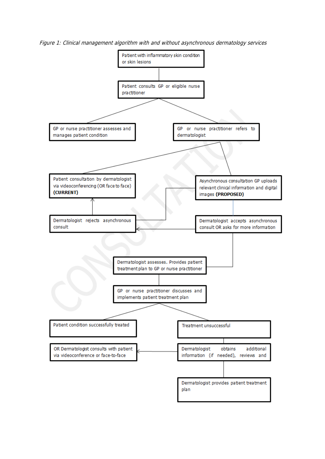Figure 1: Clinical management algorithm with and without asynchronous dermatology services

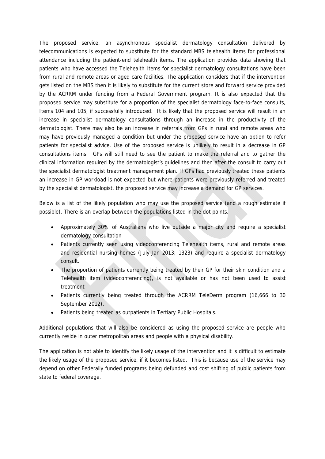The proposed service, an asynchronous specialist dermatology consultation delivered by telecommunications is expected to substitute for the standard MBS telehealth items for professional attendance including the patient-end telehealth items. The application provides data showing that patients who have accessed the Telehealth Items for specialist dermatology consultations have been from rural and remote areas or aged care facilities. The application considers that if the intervention gets listed on the MBS then it is likely to substitute for the current store and forward service provided by the ACRRM under funding from a Federal Government program. It is also expected that the proposed service may substitute for a proportion of the specialist dermatology face-to-face consults, Items 104 and 105, if successfully introduced. It is likely that the proposed service will result in an increase in specialist dermatology consultations through an increase in the productivity of the dermatologist. There may also be an increase in referrals from GPs in rural and remote areas who may have previously managed a condition but under the proposed service have an option to refer patients for specialist advice. Use of the proposed service is unlikely to result in a decrease in GP consultations items. GPs will still need to see the patient to make the referral and to gather the clinical information required by the dermatologist's guidelines and then after the consult to carry out the specialist dermatologist treatment management plan. If GPs had previously treated these patients an increase in GP workload is not expected but where patients were previously referred and treated by the specialist dermatologist, the proposed service may increase a demand for GP services.

Below is a list of the likely population who may use the proposed service (and a rough estimate if possible). There is an overlap between the populations listed in the dot points.

- Approximately 30% of Australians who live outside a major city and require a specialist dermatology consultation
- Patients currently seen using videoconferencing Telehealth items, rural and remote areas and residential nursing homes (July-Jan 2013; 1323) and require a specialist dermatology consult.
- The proportion of patients currently being treated by their GP for their skin condition and a Telehealth item (videoconferencing), is not available or has not been used to assist treatment
- Patients currently being treated through the ACRRM TeleDerm program (16,666 to 30 September 2012).
- Patients being treated as outpatients in Tertiary Public Hospitals.

Additional populations that will also be considered as using the proposed service are people who currently reside in outer metropolitan areas and people with a physical disability.

The application is not able to identify the likely usage of the intervention and it is difficult to estimate the likely usage of the proposed service, if it becomes listed. This is because use of the service may depend on other Federally funded programs being defunded and cost shifting of public patients from state to federal coverage.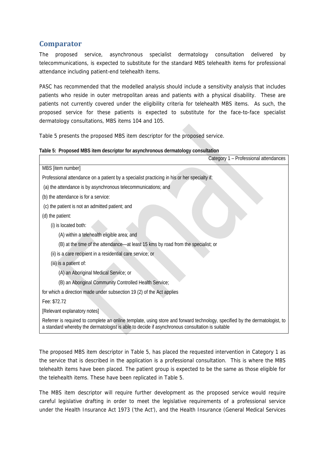# **Comparator**

The proposed service, asynchronous specialist dermatology consultation delivered by telecommunications, is expected to substitute for the standard MBS telehealth items for professional attendance including patient-end telehealth items.

PASC has recommended that the modelled analysis should include a sensitivity analysis that includes patients who reside in outer metropolitan areas and patients with a physical disability. These are patients not currently covered under the eligibility criteria for telehealth MBS items. As such, the proposed service for these patients is expected to substitute for the face-to-face specialist dermatology consultations, MBS items 104 and 105.

Table 5 presents the proposed MBS item descriptor for the proposed service.

#### **Table 5: Proposed MBS item descriptor for asynchronous dermatology consultation**

| Category 1 - Professional attendances                                                                                                                                                                                          |
|--------------------------------------------------------------------------------------------------------------------------------------------------------------------------------------------------------------------------------|
| MBS [item number]                                                                                                                                                                                                              |
| Professional attendance on a patient by a specialist practicing in his or her specialty if:                                                                                                                                    |
| (a) the attendance is by asynchronous telecommunications; and                                                                                                                                                                  |
| (b) the attendance is for a service:                                                                                                                                                                                           |
| (c) the patient is not an admitted patient; and                                                                                                                                                                                |
| (d) the patient:                                                                                                                                                                                                               |
| (i) is located both:                                                                                                                                                                                                           |
| (A) within a telehealth eligible area; and                                                                                                                                                                                     |
| (B) at the time of the attendance-at least 15 kms by road from the specialist; or                                                                                                                                              |
| (ii) is a care recipient in a residential care service; or                                                                                                                                                                     |
| (iii) is a patient of:                                                                                                                                                                                                         |
| (A) an Aboriginal Medical Service; or                                                                                                                                                                                          |
| (B) an Aboriginal Community Controlled Health Service;                                                                                                                                                                         |
| for which a direction made under subsection 19 (2) of the Act applies                                                                                                                                                          |
| Fee: \$72.72                                                                                                                                                                                                                   |
| [Relevant explanatory notes]                                                                                                                                                                                                   |
| Referrer is required to complete an online template, using store and forward technology, specified by the dermatologist, to<br>a standard whereby the dermatologist is able to decide if asynchronous consultation is suitable |

The proposed MBS item descriptor in Table 5, has placed the requested intervention in Category 1 as the service that is described in the application is a professional consultation. This is where the MBS telehealth items have been placed. The patient group is expected to be the same as those eligible for the telehealth items. These have been replicated in Table 5.

The MBS item descriptor will require further development as the proposed service would require careful legislative drafting in order to meet the legislative requirements of a professional service under the Health Insurance Act 1973 ('the Act'), and the Health Insurance (General Medical Services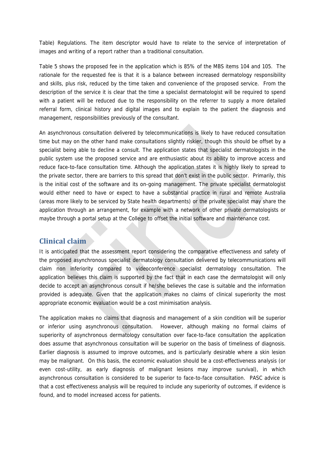Table) Regulations. The item descriptor would have to relate to the service of interpretation of images and writing of a report rather than a traditional consultation.

Table 5 shows the proposed fee in the application which is 85% of the MBS items 104 and 105. The rationale for the requested fee is that it is a balance between increased dermatology responsibility and skills, plus risk, reduced by the time taken and convenience of the proposed service. From the description of the service it is clear that the time a specialist dermatologist will be required to spend with a patient will be reduced due to the responsibility on the referrer to supply a more detailed referral form, clinical history and digital images and to explain to the patient the diagnosis and management, responsibilities previously of the consultant.

An asynchronous consultation delivered by telecommunications is likely to have reduced consultation time but may on the other hand make consultations slightly riskier, though this should be offset by a specialist being able to decline a consult. The application states that specialist dermatologists in the public system use the proposed service and are enthusiastic about its ability to improve access and reduce face-to-face consultation time. Although the application states it is highly likely to spread to the private sector, there are barriers to this spread that don't exist in the public sector. Primarily, this is the initial cost of the software and its on-going management. The private specialist dermatologist would either need to have or expect to have a substantial practice in rural and remote Australia (areas more likely to be serviced by State health departments) or the private specialist may share the application through an arrangement, for example with a network of other private dermatologists or maybe through a portal setup at the College to offset the initial software and maintenance cost.

# **Clinical claim**

It is anticipated that the assessment report considering the comparative effectiveness and safety of the proposed asynchronous specialist dermatology consultation delivered by telecommunications will claim non inferiority compared to videoconference specialist dermatology consultation. The application believes this claim is supported by the fact that in each case the dermatologist will only decide to accept an asynchronous consult if he/she believes the case is suitable and the information provided is adequate. Given that the application makes no claims of clinical superiority the most appropriate economic evaluation would be a cost minimisation analysis.

The application makes no claims that diagnosis and management of a skin condition will be superior or inferior using asynchronous consultation. However, although making no formal claims of superiority of asynchronous dermatology consultation over face-to-face consultation the application does assume that asynchronous consultation will be superior on the basis of timeliness of diagnosis. Earlier diagnosis is assumed to improve outcomes, and is particularly desirable where a skin lesion may be malignant. On this basis, the economic evaluation should be a cost-effectiveness analysis (or even cost-utility, as early diagnosis of malignant lesions may improve survival), in which asynchronous consultation is considered to be superior to face-to-face consultation. PASC advice is that a cost effectiveness analysis will be required to include any superiority of outcomes, if evidence is found, and to model increased access for patients.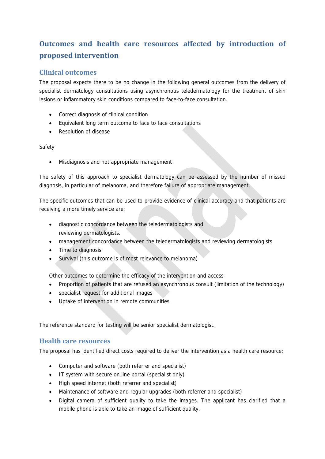# **Outcomes and health care resources affected by introduction of proposed intervention**

# **Clinical outcomes**

The proposal expects there to be no change in the following general outcomes from the delivery of specialist dermatology consultations using asynchronous teledermatology for the treatment of skin lesions or inflammatory skin conditions compared to face-to-face consultation.

- Correct diagnosis of clinical condition
- Equivalent long term outcome to face to face consultations
- Resolution of disease

### Safety

• Misdiagnosis and not appropriate management

The safety of this approach to specialist dermatology can be assessed by the number of missed diagnosis, in particular of melanoma, and therefore failure of appropriate management.

The specific outcomes that can be used to provide evidence of clinical accuracy and that patients are receiving a more timely service are:

- diagnostic concordance between the teledermatologists and reviewing dermatologists.
- management concordance between the teledermatologists and reviewing dermatologists
- Time to diagnosis
- Survival (this outcome is of most relevance to melanoma)

Other outcomes to determine the efficacy of the intervention and access

- Proportion of patients that are refused an asynchronous consult (limitation of the technology)
- specialist request for additional images
- Uptake of intervention in remote communities

The reference standard for testing will be senior specialist dermatologist.

# **Health care resources**

The proposal has identified direct costs required to deliver the intervention as a health care resource:

- Computer and software (both referrer and specialist)
- IT system with secure on line portal (specialist only)
- High speed internet (both referrer and specialist)
- Maintenance of software and regular upgrades (both referrer and specialist)
- Digital camera of sufficient quality to take the images. The applicant has clarified that a mobile phone is able to take an image of sufficient quality.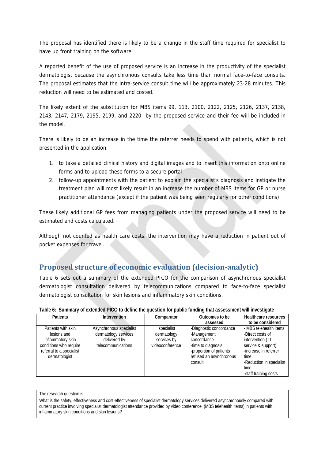The proposal has identified there is likely to be a change in the staff time required for specialist to have up front training on the software.

A reported benefit of the use of proposed service is an increase in the productivity of the specialist dermatologist because the asynchronous consults take less time than normal face-to-face consults. The proposal estimates that the intra-service consult time will be approximately 23-28 minutes. This reduction will need to be estimated and costed.

The likely extent of the substitution for MBS items 99, 113, 2100, 2122, 2125, 2126, 2137, 2138, 2143, 2147, 2179, 2195, 2199, and 2220 by the proposed service and their fee will be included in the model.

There is likely to be an increase in the time the referrer needs to spend with patients, which is not presented in the application:

- 1. to take a detailed clinical history and digital images and to insert this information onto online forms and to upload these forms to a secure portal
- 2. follow-up appointments with the patient to explain the specialist's diagnosis and instigate the treatment plan will most likely result in an increase the number of MBS items for GP or nurse practitioner attendance (except if the patient was being seen regularly for other conditions).

These likely additional GP fees from managing patients under the proposed service will need to be estimated and costs calculated.

Although not counted as health care costs, the intervention may have a reduction in patient out of pocket expenses for travel.

# **Proposed structure of economic evaluation (decision‐analytic)**

Table 6 sets out a summary of the extended PICO for the comparison of asynchronous specialist dermatologist consultation delivered by telecommunications compared to face-to-face specialist dermatologist consultation for skin lesions and inflammatory skin conditions.

| <b>Patients</b>                                                                                                               | Intervention                                                                          | Comparator                                                  | Outcomes to be                                                                                                                               | Healthcare resources                                                                                                                                                               |
|-------------------------------------------------------------------------------------------------------------------------------|---------------------------------------------------------------------------------------|-------------------------------------------------------------|----------------------------------------------------------------------------------------------------------------------------------------------|------------------------------------------------------------------------------------------------------------------------------------------------------------------------------------|
|                                                                                                                               |                                                                                       |                                                             | assessed                                                                                                                                     | to be considered                                                                                                                                                                   |
| Patients with skin<br>lesions and<br>inflammatory skin<br>conditions who require<br>referral to a specialist<br>dermatologist | Asynchronous specialist<br>dermatology services<br>delivered by<br>telecommunications | specialist<br>dermatology<br>services by<br>videoconference | -Diagnostic concordance<br>-Management<br>concordance<br>-time to diagnosis<br>-proportion of patients<br>refused an asynchronous<br>consult | - MBS telehealth items<br>-Direct costs of<br>intervention (IT<br>service & support)<br>-increase in referrer<br>time<br>-Reduction in specialist<br>time<br>-staff training costs |

|  |  | Table 6: Summary of extended PICO to define the question for public funding that assessment will investigate |
|--|--|--------------------------------------------------------------------------------------------------------------|

#### The research question is:

What is the safety, effectiveness and cost-effectiveness of specialist dermatology services delivered asynchronously compared with current practice involving specialist dermatologist attendance provided by video conference (MBS telehealth items) in patients with inflammatory skin conditions and skin lesions?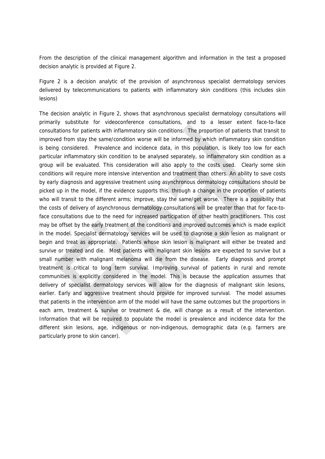From the description of the clinical management algorithm and information in the test a proposed decision analytic is provided at Figure 2.

Figure 2 is a decision analytic of the provision of asynchronous specialist dermatology services delivered by telecommunications to patients with inflammatory skin conditions (this includes skin lesions)

The decision analytic in Figure 2, shows that asynchronous specialist dermatology consultations will primarily substitute for videoconference consultations, and to a lesser extent face-to-face consultations for patients with inflammatory skin conditions. The proportion of patients that transit to improved from stay the same/condition worse will be informed by which inflammatory skin condition is being considered. Prevalence and incidence data, in this population, is likely too low for each particular inflammatory skin condition to be analysed separately, so inflammatory skin condition as a group will be evaluated. This consideration will also apply to the costs used. Clearly some skin conditions will require more intensive intervention and treatment than others. An ability to save costs by early diagnosis and aggressive treatment using asynchronous dermatology consultations should be picked up in the model, if the evidence supports this, through a change in the proportion of patients who will transit to the different arms; improve, stay the same/get worse. There is a possibility that the costs of delivery of asynchronous dermatology consultations will be greater than that for face-toface consultations due to the need for increased participation of other health practitioners. This cost may be offset by the early treatment of the conditions and improved outcomes which is made explicit in the model. Specialist dermatology services will be used to diagnose a skin lesion as malignant or begin and treat as appropriate. Patients whose skin lesion is malignant will either be treated and survive or treated and die. Most patients with malignant skin lesions are expected to survive but a small number with malignant melanoma will die from the disease. Early diagnosis and prompt treatment is critical to long term survival. Improving survival of patients in rural and remote communities is explicitly considered in the model. This is because the application assumes that delivery of specialist dermatology services will allow for the diagnosis of malignant skin lesions, earlier. Early and aggressive treatment should provide for improved survival. The model assumes that patients in the intervention arm of the model will have the same outcomes but the proportions in each arm, treatment & survive or treatment & die, will change as a result of the intervention. Information that will be required to populate the model is prevalence and incidence data for the different skin lesions, age, indigenous or non-indigenous, demographic data (e.g. farmers are particularly prone to skin cancer).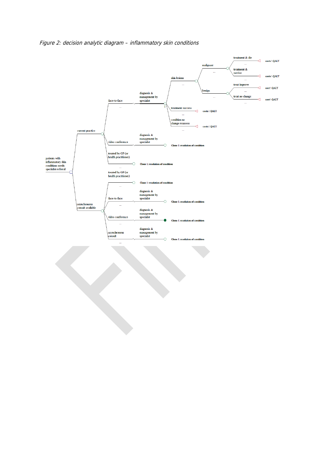Figure 2: decision analytic diagram – inflammatory skin conditions

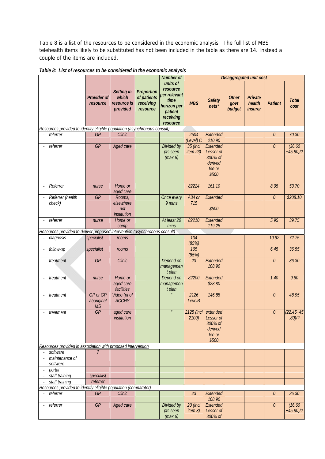Table 8 is a list of the resources to be considered in the economic analysis. The full list of MBS telehealth items likely to be substituted has not been included in the table as there are 14. Instead a couple of the items are included.

|                |                                                                            |                                            |                                                |                                                    | <b>Number of</b>                                                                                |                       |                                                                |                                | <b>Disaggregated unit cost</b>      |                |                           |
|----------------|----------------------------------------------------------------------------|--------------------------------------------|------------------------------------------------|----------------------------------------------------|-------------------------------------------------------------------------------------------------|-----------------------|----------------------------------------------------------------|--------------------------------|-------------------------------------|----------------|---------------------------|
|                |                                                                            | <b>Provider of</b><br>resource             | Setting in<br>which<br>resource is<br>provided | Proportion<br>of patients<br>receiving<br>resource | units of<br>resource<br>per relevant<br>time<br>horizon per<br>patient<br>receiving<br>resource | <b>MBS</b>            | <b>Safety</b><br>$nets*$                                       | <b>Other</b><br>govt<br>budget | Private<br>health<br><i>insurer</i> | <b>Patient</b> | <b>Total</b><br>cost      |
|                | Resources provided to identify eligible population (asynchronous consult)  |                                            |                                                |                                                    |                                                                                                 |                       |                                                                |                                |                                     |                |                           |
|                | referrer                                                                   | GP                                         | Clinic                                         |                                                    |                                                                                                 | 2504<br>$(Level)$ $C$ | Extended<br>210.90                                             |                                |                                     | 0              | 70.30                     |
|                | referrer                                                                   | GP                                         | Aged care                                      |                                                    | Divided by<br>pts seen<br>(max 6)                                                               | 35 (incl<br>item 23)  | Extended<br>Lesser of<br>300% of<br>derived<br>fee or<br>\$500 |                                |                                     | $\mathcal O$   | (36.60)<br>$+45.80$ /?    |
|                | Referrer                                                                   | nurse                                      | Home or<br>aged care                           |                                                    |                                                                                                 | 82224                 | 161.10                                                         |                                |                                     | 8.05           | 53.70                     |
|                | Referrer (health<br>check)                                                 | GP                                         | Rooms,<br>elsewhere<br>not<br>institution      |                                                    | Once every<br>9 mths                                                                            | A34 or<br>715         | Extended<br>\$500                                              |                                |                                     | $\mathcal O$   | \$208.10                  |
|                | referrer                                                                   | nurse                                      | Home or<br>camp                                |                                                    | At least 20<br>mins                                                                             | 82210                 | Extended<br>119.25                                             |                                |                                     | 5.95           | 39.75                     |
|                | Resources provided to deliver proposed intervention (asynchronous consult) |                                            |                                                |                                                    |                                                                                                 |                       |                                                                |                                |                                     |                |                           |
|                | diagnosis                                                                  | specialist                                 | rooms                                          |                                                    |                                                                                                 | 104<br>(85%)          |                                                                |                                |                                     | 10.92          | 72.75                     |
|                | follow-up                                                                  | specialist                                 | rooms                                          |                                                    |                                                                                                 | 105<br>(85%)          |                                                                |                                |                                     | 6.45           | 36.55                     |
|                | treatment                                                                  | GP                                         | Clinic                                         |                                                    | Depend on<br>managemen<br>t plan                                                                | 23                    | Extended<br>108.90                                             |                                |                                     | $\theta$       | 36.30                     |
|                | treatment                                                                  | nurse                                      | Home or<br>aged care<br>facilities             |                                                    | Depend on<br>managemen<br>t plan                                                                | 82200                 | Extended<br>\$28.80                                            |                                |                                     | 1.40           | 9.60                      |
|                | treatment                                                                  | <b>GP</b> or GP<br>aboriginal<br><b>MS</b> | Video (pt of<br><b>ACCHS</b>                   |                                                    |                                                                                                 | 2126<br>LevelB        | 146.85                                                         |                                |                                     | $\mathcal O$   | 48.95                     |
|                | treatment                                                                  | GP                                         | aged care<br>institution                       |                                                    | $\boldsymbol{u}$                                                                                | 2125 (inc.<br>2100)   | extended<br>Lesser of<br>300% of<br>derived<br>fee or<br>\$500 |                                |                                     | $\mathcal O$   | $(22.45+45)$<br>$.80$ )/? |
|                | Resources provided in association with proposed intervention               |                                            |                                                |                                                    |                                                                                                 |                       |                                                                |                                |                                     |                |                           |
| $\blacksquare$ | software                                                                   | 2                                          |                                                |                                                    |                                                                                                 |                       |                                                                |                                |                                     |                |                           |
|                | maintenance of<br>software                                                 |                                            |                                                |                                                    |                                                                                                 |                       |                                                                |                                |                                     |                |                           |
|                | portal                                                                     |                                            |                                                |                                                    |                                                                                                 |                       |                                                                |                                |                                     |                |                           |
|                | staff training                                                             | specialist                                 |                                                |                                                    |                                                                                                 |                       |                                                                |                                |                                     |                |                           |
|                | staff training                                                             | referrer                                   |                                                |                                                    |                                                                                                 |                       |                                                                |                                |                                     |                |                           |
|                | Resources provided to identify eligible population (comparator)            |                                            |                                                |                                                    |                                                                                                 |                       |                                                                |                                |                                     |                |                           |
|                | referrer                                                                   | GP                                         | <b>Clinic</b>                                  |                                                    |                                                                                                 | 23                    | Extended<br>108.90                                             |                                |                                     | 0              | 36.30                     |
|                | referrer                                                                   | GP                                         | Aged care                                      |                                                    | Divided by<br>pts seen<br>(max 6)                                                               | 20 (incl<br>item 3)   | Extended<br>Lesser of<br>300% of                               |                                |                                     | $\mathcal O$   | (16.60)<br>$+45.80$ )/?   |

*Table 8: List of resources to be considered in the economic analysis*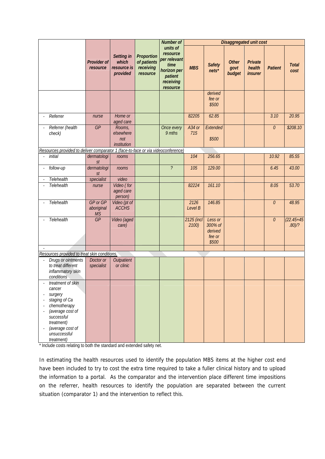|    |                                                                                                                                                                           |                                     |                                                |                                                    | Number of                                                                                       | Disaggregated unit cost |                                                  |                                |                              |                |                           |
|----|---------------------------------------------------------------------------------------------------------------------------------------------------------------------------|-------------------------------------|------------------------------------------------|----------------------------------------------------|-------------------------------------------------------------------------------------------------|-------------------------|--------------------------------------------------|--------------------------------|------------------------------|----------------|---------------------------|
|    |                                                                                                                                                                           | Provider of<br>resource             | Setting in<br>which<br>resource is<br>provided | Proportion<br>of patients<br>receiving<br>resource | units of<br>resource<br>per relevant<br>time<br>horizon per<br>patient<br>receiving<br>resource | <b>MBS</b>              | <b>Safety</b><br>$nets*$                         | <b>Other</b><br>govt<br>budget | Private<br>health<br>insurer | <b>Patient</b> | <b>Total</b><br>cost      |
|    |                                                                                                                                                                           |                                     |                                                |                                                    |                                                                                                 |                         | derived<br>fee or<br>\$500                       |                                |                              |                |                           |
|    | Referrer                                                                                                                                                                  | nurse                               | Home or<br>aged care                           |                                                    |                                                                                                 | 82205                   | 62.85                                            |                                |                              | 3.10           | 20.95                     |
|    | Referrer (health<br>check)                                                                                                                                                | GP                                  | Rooms,<br>elsewhere<br>not<br>institution      |                                                    | Once every<br>9 mths                                                                            | A34 or<br>715           | Extended<br>\$500                                |                                |                              | $\mathcal O$   | \$208.10                  |
|    | Resources provided to deliver comparator 1 (face-to-face or via videoconference)                                                                                          |                                     |                                                |                                                    |                                                                                                 |                         |                                                  |                                |                              |                |                           |
|    | <i>initial</i>                                                                                                                                                            | dermatologi<br>st                   | rooms                                          |                                                    |                                                                                                 | 104                     | 256.65                                           |                                |                              | 10.92          | 85.55                     |
|    | follow-up                                                                                                                                                                 | dermatologi<br>st                   | rooms                                          |                                                    | $\tilde{?}$                                                                                     | 105                     | 129.00                                           |                                |                              | 6.45           | 43.00                     |
|    | Telehealth                                                                                                                                                                | specialist                          | video                                          |                                                    |                                                                                                 |                         |                                                  |                                |                              |                |                           |
|    | Telehealth                                                                                                                                                                | nurse                               | Video (for<br>aged care<br>person)             |                                                    |                                                                                                 | 82224                   | 161.10                                           |                                |                              | 8.05           | 53.70                     |
|    | Telehealth                                                                                                                                                                | <b>GP</b> or GP<br>aboriginal<br>MS | Video (pt of<br><b>ACCHS</b>                   |                                                    |                                                                                                 | 2126<br>LevelB          | 146.85                                           |                                |                              | $\mathcal O$   | 48.95                     |
|    | Telehealth                                                                                                                                                                | GP                                  | Video (aged<br>care)                           |                                                    |                                                                                                 | 2125 (incl<br>2100)     | Less or<br>300% of<br>derived<br>fee or<br>\$500 |                                |                              | $\mathcal O$   | $(22.45+45)$<br>$.80$ )/? |
|    |                                                                                                                                                                           |                                     |                                                |                                                    |                                                                                                 |                         |                                                  |                                |                              |                |                           |
|    | Resources provided to treat skin conditions,                                                                                                                              |                                     |                                                |                                                    |                                                                                                 |                         |                                                  |                                |                              |                |                           |
|    | Drugs or ointments<br>to treat different<br>inflammatory skin<br>conditions                                                                                               | Doctor or<br>specialist             | Outpatient<br>or clinic                        |                                                    |                                                                                                 |                         |                                                  |                                |                              |                |                           |
| ÷, | treatment of skin<br>cancer<br>surgery<br>staging of Ca<br>chemotherapy<br>(average cost of<br>successful<br>treatment)<br>(average cost of<br>unsuccessful<br>treatment) |                                     |                                                |                                                    |                                                                                                 |                         |                                                  |                                |                              |                |                           |

\* Include costs relating to both the standard and extended safety net.

In estimating the health resources used to identify the population MBS items at the higher cost end have been included to try to cost the extra time required to take a fuller clinical history and to upload the information to a portal. As the comparator and the intervention place different time impositions on the referrer, health resources to identify the population are separated between the current situation (comparator 1) and the intervention to reflect this.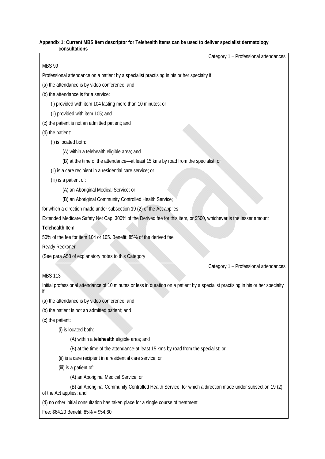#### **Appendix 1: Current MBS item descriptor for Telehealth items can be used to deliver specialist dermatology consultations**

| Category 1 - Professional attendances                                                                                                    |
|------------------------------------------------------------------------------------------------------------------------------------------|
| <b>MBS 99</b>                                                                                                                            |
| Professional attendance on a patient by a specialist practising in his or her specialty if:                                              |
| (a) the attendance is by video conference; and                                                                                           |
| (b) the attendance is for a service:                                                                                                     |
| (i) provided with item 104 lasting more than 10 minutes; or                                                                              |
| (ii) provided with item 105; and                                                                                                         |
| (c) the patient is not an admitted patient; and                                                                                          |
| (d) the patient:                                                                                                                         |
| (i) is located both:                                                                                                                     |
| (A) within a telehealth eligible area; and                                                                                               |
| (B) at the time of the attendance—at least 15 kms by road from the specialist; or                                                        |
| (ii) is a care recipient in a residential care service; or                                                                               |
| (iii) is a patient of:                                                                                                                   |
| (A) an Aboriginal Medical Service; or                                                                                                    |
| (B) an Aboriginal Community Controlled Health Service;                                                                                   |
| for which a direction made under subsection 19 (2) of the Act applies                                                                    |
| Extended Medicare Safety Net Cap: 300% of the Derived fee for this item, or \$500, whichever is the lesser amount                        |
| Telehealth Item                                                                                                                          |
| 50% of the fee for item 104 or 105. Benefit: 85% of the derived fee                                                                      |
| Ready Reckoner                                                                                                                           |
| (See para A58 of explanatory notes to this Category                                                                                      |
| Category 1 - Professional attendances                                                                                                    |
| <b>MBS 113</b>                                                                                                                           |
| Initial professional attendance of 10 minutes or less in duration on a patient by a specialist practising in his or her specialty<br>if: |
| (a) the attendance is by video conference; and                                                                                           |
| (b) the patient is not an admitted patient; and                                                                                          |
| (c) the patient:                                                                                                                         |
| (i) is located both:                                                                                                                     |
| (A) within a telehealth eligible area; and                                                                                               |
| (B) at the time of the attendance-at least 15 kms by road from the specialist; or                                                        |
| (ii) is a care recipient in a residential care service; or                                                                               |
| (iii) is a patient of:                                                                                                                   |
| (A) an Aboriginal Medical Service; or                                                                                                    |
| (B) an Aboriginal Community Controlled Health Service; for which a direction made under subsection 19 (2)<br>of the Act applies; and     |
| (d) no other initial consultation has taken place for a single course of treatment.                                                      |
| Fee: $$64.20$ Benefit: $85\% = $54.60$                                                                                                   |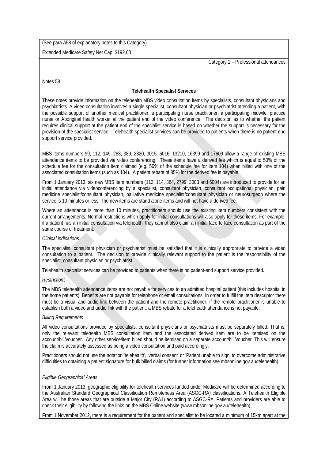(See para A58 of explanatory notes to this Category)

Extended Medicare Safety Net Cap: \$192.60

Category 1 – Professional attendances

Notes 58

#### **Telehealth Specialist Services**

These notes provide information on the telehealth MBS video consultation items by specialists, consultant physicians and psychiatrists. A video consultation involves a single specialist, consultant physician or psychiatrist attending a patient, with the possible support of another medical practitioner, a participating nurse practitioner, a participating midwife, practice nurse or Aboriginal health worker at the patient end of the video conference. The decision as to whether the patient requires clinical support at the patient end of the specialist service is based on whether the support is necessary for the provision of the specialist service. Telehealth specialist services can be provided to patients when there is no patient-end support service provided.

MBS items numbers 99, 112, 149, 288, 389, 2820, 3015, 6016, 13210, 16399 and 17609 allow a range of existing MBS attendance items to be provided via video conferencing. These items have a derived fee which is equal to 50% of the schedule fee for the consultation item claimed (e.g. 50% of the schedule fee for item 104) when billed with one of the associated consultation items (such as 104). A patient rebate of 85% for the derived fee is payable.

From 1 January 2013, six new MBS item numbers (113, 114, 384, 2799, 3003 and 6004) are introduced to provide for an initial attendance via videoconferencing by a specialist, consultant physician, consultant occupational physician, pain medicine specialist/consultant physician, palliative medicine specialist/consultant physician or neurosurgeon where the service is 10 minutes or less. The new items are stand alone items and will not have a derived fee.

Where an attendance is more than 10 minutes, practitioners should use the existing item numbers consistent with the current arrangements. Normal restrictions which apply for initial consultations will also apply for these items. For example, if a patient has an initial consultation via telehealth, they cannot also claim an initial face-to-face consultation as part of the same course of treatment.

#### *Clinical indications*

The specialist, consultant physician or psychiatrist must be satisfied that it is clinically appropriate to provide a video consultation to a patient. The decision to provide clinically relevant support to the patient is the responsibility of the specialist, consultant physician or psychiatrist.

Telehealth specialist services can be provided to patients when there is no patient-end support service provided.

#### *Restrictions*

The MBS telehealth attendance items are not payable for services to an admitted hospital patient (this includes hospital in the home patients). Benefits are not payable for telephone or email consultations. In order to fulfill the item descriptor there must be a visual and audio link between the patient and the remote practitioner. If the remote practitioner is unable to establish both a video and audio link with the patient, a MBS rebate for a telehealth attendance is not payable.

#### *Billing Requirements*

All video consultations provided by specialists, consultant physicians or psychiatrists must be separately billed. That is, only the relevant telehealth MBS consultation item and the associated derived item are to be itemised on the account/bill/voucher. Any other service/item billed should be itemised on a separate account/bill/voucher. This will ensure the claim is accurately assessed as being a video consultation and paid accordingly.

Practitioners should not use the notation 'telehealth', 'verbal consent' or 'Patient unable to sign' to overcome administrative difficulties to obtaining a patient signature for bulk billed claims (for further information see mbsonline.gov.au/telehealth).

#### *Eligible Geographical Areas*

From 1 January 2013, geographic eligibility for telehealth services funded under Medicare will be determined according to the Australian Standard Geographical Classification Remoteness Area (ASGC-RA) classifications. A Telehealth Eligible Area will be those areas that are outside a Major City (RA1) according to ASGC-RA. Patients and providers are able to check their eligibility by following the links on the MBS Online website (www.mbsonline.gov.au/telehealth).

From 1 November 2012, there is a requirement for the patient and specialist to be located a minimum of 15km apart at the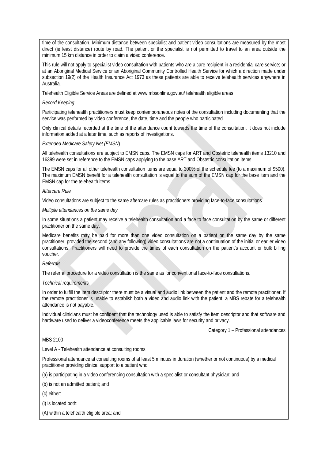time of the consultation. Minimum distance between specialist and patient video consultations are measured by the most direct (ie least distance) route by road. The patient or the specialist is not permitted to travel to an area outside the minimum 15 km distance in order to claim a video conference.

This rule will not apply to specialist video consultation with patients who are a care recipient in a residential care service; or at an Aboriginal Medical Service or an Aboriginal Community Controlled Health Service for which a direction made under subsection 19(2) of the Health Insurance Act 1973 as these patients are able to receive telehealth services anywhere in Australia.

Telehealth Eligible Service Areas are defined at www.mbsonline.gov.au/ telehealth eligible areas

#### *Record Keeping*

Participating telehealth practitioners must keep contemporaneous notes of the consultation including documenting that the service was performed by video conference, the date, time and the people who participated.

Only clinical details recorded at the time of the attendance count towards the time of the consultation. It does not include information added at a later time, such as reports of investigations.

#### *Extended Medicare Safety Net (EMSN*)

All telehealth consultations are subject to EMSN caps. The EMSN caps for ART and Obstetric telehealth items 13210 and 16399 were set in reference to the EMSN caps applying to the base ART and Obstetric consultation items.

The EMSN caps for all other telehealth consultation items are equal to 300% of the schedule fee (to a maximum of \$500). The maximum EMSN benefit for a telehealth consultation is equal to the sum of the EMSN cap for the base item and the EMSN cap for the telehealth items.

#### *Aftercare Rule*

Video consultations are subject to the same aftercare rules as practitioners providing face-to-face consultations.

#### *Multiple attendances on the same day*

In some situations a patient may receive a telehealth consultation and a face to face consultation by the same or different practitioner on the same day.

Medicare benefits may be paid for more than one video consultation on a patient on the same day by the same practitioner, provided the second (and any following) video consultations are not a continuation of the initial or earlier video consultations. Practitioners will need to provide the times of each consultation on the patient's account or bulk billing voucher.

#### *Referrals*

The referral procedure for a video consultation is the same as for conventional face-to-face consultations.

#### *Technical requirements*

In order to fulfill the item descriptor there must be a visual and audio link between the patient and the remote practitioner. If the remote practitioner is unable to establish both a video and audio link with the patient, a MBS rebate for a telehealth attendance is not payable.

Individual clinicians must be confident that the technology used is able to satisfy the item descriptor and that software and hardware used to deliver a videoconference meets the applicable laws for security and privacy.

Category 1 – Professional attendances

#### MBS 2100

Level A - Telehealth attendance at consulting rooms

Professional attendance at consulting rooms of at least 5 minutes in duration (whether or not continuous) by a medical practitioner providing clinical support to a patient who:

(a) is participating in a video conferencing consultation with a specialist or consultant physician; and

(b) is not an admitted patient; and

(c) either:

(i) is located both:

(A) within a telehealth eligible area; and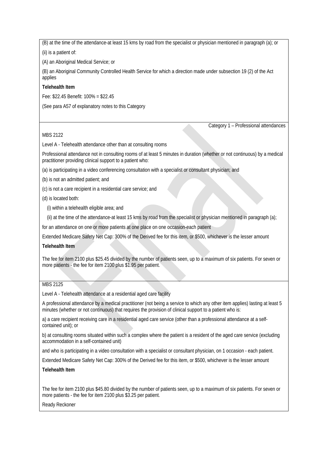(B) at the time of the attendance-at least 15 kms by road from the specialist or physician mentioned in paragraph (a); or

(ii) is a patient of:

(A) an Aboriginal Medical Service; or

(B) an Aboriginal Community Controlled Health Service for which a direction made under subsection 19 (2) of the Act applies

### **Telehealth Item**

Fee: \$22.45 Benefit: 100% = \$22.45

(See para A57 of explanatory notes to this Category

Category 1 – Professional attendances

MBS 2122

Level A - Telehealth attendance other than at consulting rooms

Professional attendance not in consulting rooms of at least 5 minutes in duration (whether or not continuous) by a medical practitioner providing clinical support to a patient who:

(a) is participating in a video conferencing consultation with a specialist or consultant physician; and

(b) is not an admitted patient; and

(c) is not a care recipient in a residential care service; and

(d) is located both:

(i) within a telehealth eligible area; and

(ii) at the time of the attendance-at least 15 kms by road from the specialist or physician mentioned in paragraph (a);

for an attendance on one or more patients at one place on one occasion-each patient

Extended Medicare Safety Net Cap: 300% of the Derived fee for this item, or \$500, whichever is the lesser amount

#### **Telehealth Item**

The fee for item 2100 plus \$25.45 divided by the number of patients seen, up to a maximum of six patients. For seven or more patients - the fee for item 2100 plus \$1.95 per patient.

### MBS 2125

Level A - Telehealth attendance at a residential aged care facility

A professional attendance by a medical practitioner (not being a service to which any other item applies) lasting at least 5 minutes (whether or not continuous) that requires the provision of clinical support to a patient who is:

a) a care recipient receiving care in a residential aged care service (other than a professional attendance at a selfcontained unit); or

b) at consulting rooms situated within such a complex where the patient is a resident of the aged care service (excluding accommodation in a self-contained unit)

and who is participating in a video consultation with a specialist or consultant physician, on 1 occasion - each patient.

Extended Medicare Safety Net Cap: 300% of the Derived fee for this item, or \$500, whichever is the lesser amount

### **Telehealth Item**

The fee for item 2100 plus \$45.80 divided by the number of patients seen, up to a maximum of six patients. For seven or more patients - the fee for item 2100 plus \$3.25 per patient.

Ready Reckoner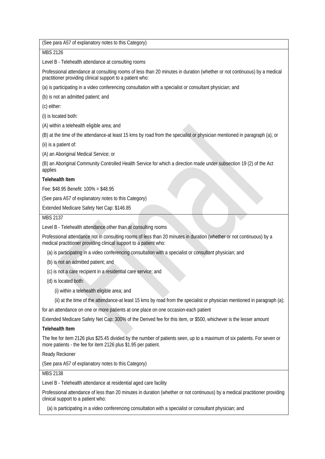(See para A57 of explanatory notes to this Category)

MBS 2126

Level B - Telehealth attendance at consulting rooms

Professional attendance at consulting rooms of less than 20 minutes in duration (whether or not continuous) by a medical practitioner providing clinical support to a patient who:

(a) is participating in a video conferencing consultation with a specialist or consultant physician; and

(b) is not an admitted patient; and

(c) either:

(i) is located both:

(A) within a telehealth eligible area; and

(B) at the time of the attendance-at least 15 kms by road from the specialist or physician mentioned in paragraph (a); or

(ii) is a patient of:

(A) an Aboriginal Medical Service; or

(B) an Aboriginal Community Controlled Health Service for which a direction made under subsection 19 (2) of the Act applies

#### **Telehealth Item**

Fee: \$48.95 Benefit: 100% = \$48.95

(See para A57 of explanatory notes to this Category)

Extended Medicare Safety Net Cap: \$146.85

#### MBS 2137

Level B - Telehealth attendance other than at consulting rooms

Professional attendance not in consulting rooms of less than 20 minutes in duration (whether or not continuous) by a medical practitioner providing clinical support to a patient who:

(a) is participating in a video conferencing consultation with a specialist or consultant physician; and

- (b) is not an admitted patient; and
- (c) is not a care recipient in a residential care service; and
- (d) is located both:
	- (i) within a telehealth eligible area; and

(ii) at the time of the attendance-at least 15 kms by road from the specialist or physician mentioned in paragraph (a);

for an attendance on one or more patients at one place on one occasion-each patient

Extended Medicare Safety Net Cap: 300% of the Derived fee for this item, or \$500, whichever is the lesser amount

#### **Telehealth Item**

The fee for item 2126 plus \$25.45 divided by the number of patients seen, up to a maximum of six patients. For seven or more patients - the fee for item 2126 plus \$1.95 per patient.

Ready Reckoner

(See para A57 of explanatory notes to this Category)

### MBS 2138

Level B - Telehealth attendance at residential aged care facility

Professional attendance of less than 20 minutes in duration (whether or not continuous) by a medical practitioner providing clinical support to a patient who:

(a) is participating in a video conferencing consultation with a specialist or consultant physician; and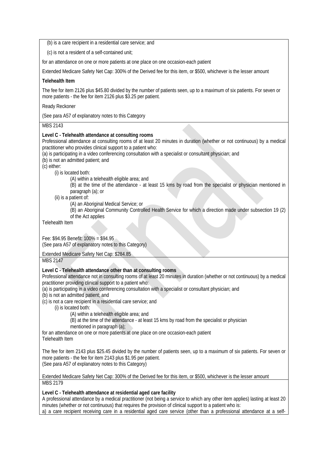(b) is a care recipient in a residential care service; and (c) is not a resident of a self-contained unit; for an attendance on one or more patients at one place on one occasion-each patient Extended Medicare Safety Net Cap: 300% of the Derived fee for this item, or \$500, whichever is the lesser amount **Telehealth Item**  The fee for item 2126 plus \$45.80 divided by the number of patients seen, up to a maximum of six patients. For seven or more patients - the fee for item 2126 plus \$3.25 per patient. Ready Reckoner (See para A57 of explanatory notes to this Category MBS 2143 **Level C - Telehealth attendance at consulting rooms**  Professional attendance at consulting rooms of at least 20 minutes in duration (whether or not continuous) by a medical practitioner who provides clinical support to a patient who: (a) is participating in a video conferencing consultation with a specialist or consultant physician; and (b) is not an admitted patient; and (c) either: (i) is located both: (A) within a telehealth eligible area; and (B) at the time of the attendance - at least 15 kms by road from the specialist or physician mentioned in paragraph (a); or (ii) is a patient of: (A) an Aboriginal Medical Service; or (B) an Aboriginal Community Controlled Health Service for which a direction made under subsection 19 (2) of the Act applies Telehealth Item Fee: \$94.95 Benefit: 100% = \$94.95 (See para A57 of explanatory notes to this Category) Extended Medicare Safety Net Cap: \$284.85 MBS 2147 **Level C - Telehealth attendance other than at consulting rooms**  Professional attendance not in consulting rooms of at least 20 minutes in duration (whether or not continuous) by a medical practitioner providing clinical support to a patient who: (a) is participating in a video conferencing consultation with a specialist or consultant physician; and (b) is not an admitted patient; and (c) is not a care recipient in a residential care service; and (i) is located both: (A) within a telehealth eligible area; and (B) at the time of the attendance - at least 15 kms by road from the specialist or physician mentioned in paragraph (a); for an attendance on one or more patients at one place on one occasion-each patient Telehealth Item The fee for item 2143 plus \$25.45 divided by the number of patients seen, up to a maximum of six patients. For seven or more patients - the fee for item 2143 plus \$1.95 per patient. (See para A57 of explanatory notes to this Category) Extended Medicare Safety Net Cap: 300% of the Derived fee for this item, or \$500, whichever is the lesser amount MBS 2179 **Level C - Telehealth attendance at residential aged care facility**  A professional attendance by a medical practitioner (not being a service to which any other item applies) lasting at least 20 minutes (whether or not continuous) that requires the provision of clinical support to a patient who is:

a) a care recipient receiving care in a residential aged care service (other than a professional attendance at a self-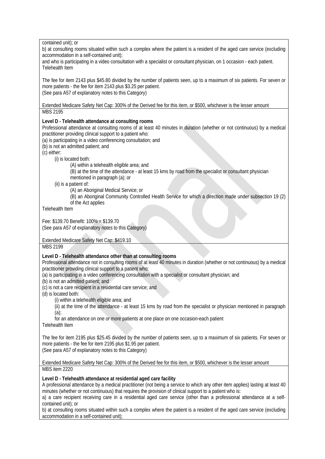contained unit); or

b) at consulting rooms situated within such a complex where the patient is a resident of the aged care service (excluding accommodation in a self-contained unit);

and who is participating in a video consultation with a specialist or consultant physician, on 1 occasion - each patient. Telehealth Item

The fee for item 2143 plus \$45.80 divided by the number of patients seen, up to a maximum of six patients. For seven or more patients - the fee for item 2143 plus \$3.25 per patient. (See para A57 of explanatory notes to this Category)

Extended Medicare Safety Net Cap: 300% of the Derived fee for this item, or \$500, whichever is the lesser amount MBS 2195

#### **Level D - Telehealth attendance at consulting rooms**

Professional attendance at consulting rooms of at least 40 minutes in duration (whether or not continuous) by a medical practitioner providing clinical support to a patient who:

(a) is participating in a video conferencing consultation; and

- (b) is not an admitted patient; and
- (c) either:
	- (i) is located both:
		- (A) within a telehealth eligible area; and
		- (B) at the time of the attendance at least 15 kms by road from the specialist or consultant physician mentioned in paragraph (a); or
		- (ii) is a patient of:
			- (A) an Aboriginal Medical Service; or

(B) an Aboriginal Community Controlled Health Service for which a direction made under subsection 19 (2) of the Act applies

Telehealth Item

Fee: \$139.70 Benefit: 100% = \$139.70 (See para A57 of explanatory notes to this Category)

Extended Medicare Safety Net Cap: \$419.10

MBS 2199

#### **Level D - Telehealth attendance other than at consulting rooms**

Professional attendance not in consulting rooms of at least 40 minutes in duration (whether or not continuous) by a medical practitioner providing clinical support to a patient who:

- (a) is participating in a video conferencing consultation with a specialist or consultant physician; and
- (b) is not an admitted patient; and
- (c) is not a care recipient in a residential care service; and
- (d) is located both:
	- (i) within a telehealth eligible area; and
	- (ii) at the time of the attendance at least 15 kms by road from the specialist or physician mentioned in paragraph (a);

for an attendance on one or more patients at one place on one occasion-each patient Telehealth Item

The fee for item 2195 plus \$25.45 divided by the number of patients seen, up to a maximum of six patients. For seven or more patients - the fee for item 2195 plus \$1.95 per patient. (See para A57 of explanatory notes to this Category)

Extended Medicare Safety Net Cap: 300% of the Derived fee for this item, or \$500, whichever is the lesser amount MBS item 2220

### **Level D - Telehealth attendance at residential aged care facility**

A professional attendance by a medical practitioner (not being a service to which any other item applies) lasting at least 40 minutes (whether or not continuous) that requires the provision of clinical support to a patient who is:

a) a care recipient receiving care in a residential aged care service (other than a professional attendance at a selfcontained unit); or

b) at consulting rooms situated within such a complex where the patient is a resident of the aged care service (excluding accommodation in a self-contained unit);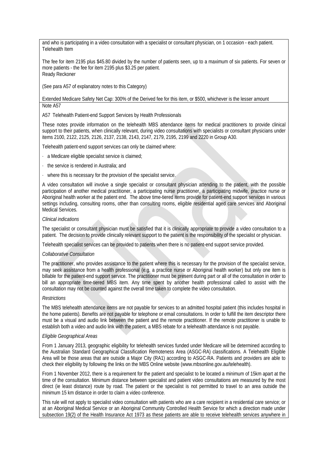and who is participating in a video consultation with a specialist or consultant physician, on 1 occasion - each patient. Telehealth Item

The fee for item 2195 plus \$45.80 divided by the number of patients seen, up to a maximum of six patients. For seven or more patients - the fee for item 2195 plus \$3.25 per patient. Ready Reckoner

(See para A57 of explanatory notes to this Category)

Extended Medicare Safety Net Cap: 300% of the Derived fee for this item, or \$500, whichever is the lesser amount Note A57

A57 Telehealth Patient-end Support Services by Health Professionals

These notes provide information on the telehealth MBS attendance items for medical practitioners to provide clinical support to their patients, when clinically relevant, during video consultations with specialists or consultant physicians under items 2100, 2122, 2125, 2126, 2137, 2138, 2143, 2147, 2179, 2195, 2199 and 2220 in Group A30.

Telehealth patient-end support services can only be claimed where:

- · a Medicare eligible specialist service is claimed;
- · the service is rendered in Australia; and
- · where this is necessary for the provision of the specialist service.

A video consultation will involve a single specialist or consultant physician attending to the patient, with the possible participation of another medical practitioner, a participating nurse practitioner, a participating midwife, practice nurse or Aboriginal health worker at the patient end. The above time-tiered items provide for patient-end support services in various settings including, consulting rooms, other than consulting rooms, eligible residential aged care services and Aboriginal Medical Services.

#### *Clinical indications*

The specialist or consultant physician must be satisfied that it is clinically appropriate to provide a video consultation to a patient. The decision to provide clinically relevant support to the patient is the responsibility of the specialist or physician.

Telehealth specialist services can be provided to patients when there is no patient-end support service provided.

#### *Collaborative Consultation*

The practitioner, who provides assistance to the patient where this is necessary for the provision of the specialist service, may seek assistance from a health professional (e.g. a practice nurse or Aboriginal health worker) but only one item is billable for the patient-end support service. The practitioner must be present during part or all of the consultation in order to bill an appropriate time-tiered MBS item. Any time spent by another health professional called to assist with the consultation may not be counted against the overall time taken to complete the video consultation.

#### *Restrictions*

The MBS telehealth attendance items are not payable for services to an admitted hospital patient (this includes hospital in the home patients). Benefits are not payable for telephone or email consultations. In order to fulfill the item descriptor there must be a visual and audio link between the patient and the remote practitioner. If the remote practitioner is unable to establish both a video and audio link with the patient, a MBS rebate for a telehealth attendance is not payable.

#### *Eligible Geographical Areas*

From 1 January 2013, geographic eligibility for telehealth services funded under Medicare will be determined according to the Australian Standard Geographical Classification Remoteness Area (ASGC-RA) classifications. A Telehealth Eligible Area will be those areas that are outside a Major City (RA1) according to ASGC-RA. Patients and providers are able to check their eligibility by following the links on the MBS Online website (www.mbsonline.gov.au/telehealth).

From 1 November 2012, there is a requirement for the patient and specialist to be located a minimum of 15km apart at the time of the consultation. Minimum distance between specialist and patient video consultations are measured by the most direct (ie least distance) route by road. The patient or the specialist is not permitted to travel to an area outside the minimum 15 km distance in order to claim a video conference.

This rule will not apply to specialist video consultation with patients who are a care recipient in a residential care service; or at an Aboriginal Medical Service or an Aboriginal Community Controlled Health Service for which a direction made under subsection 19(2) of the Health Insurance Act 1973 as these patients are able to receive telehealth services anywhere in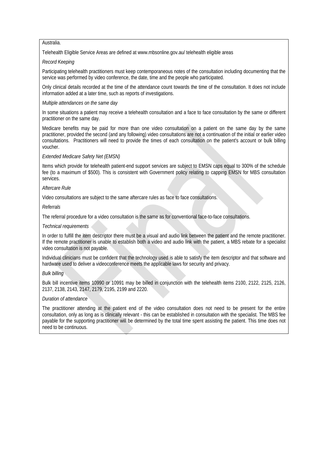#### Australia.

Telehealth Eligible Service Areas are defined at www.mbsonline.gov.au/ telehealth eligible areas

#### *Record Keeping*

Participating telehealth practitioners must keep contemporaneous notes of the consultation including documenting that the service was performed by video conference, the date, time and the people who participated.

Only clinical details recorded at the time of the attendance count towards the time of the consultation. It does not include information added at a later time, such as reports of investigations.

#### *Multiple attendances on the same day*

In some situations a patient may receive a telehealth consultation and a face to face consultation by the same or different practitioner on the same day.

Medicare benefits may be paid for more than one video consultation on a patient on the same day by the same practitioner, provided the second (and any following) video consultations are not a continuation of the initial or earlier video consultations. Practitioners will need to provide the times of each consultation on the patient's account or bulk billing voucher.

#### *Extended Medicare Safety Net (EMSN)*

Items which provide for telehealth patient-end support services are subject to EMSN caps equal to 300% of the schedule fee (to a maximum of \$500). This is consistent with Government policy relating to capping EMSN for MBS consultation services.

#### *Aftercare Rule*

Video consultations are subject to the same aftercare rules as face to face consultations.

#### *Referrals*

The referral procedure for a video consultation is the same as for conventional face-to-face consultations.

#### *Technical requirements*

In order to fulfill the item descriptor there must be a visual and audio link between the patient and the remote practitioner. If the remote practitioner is unable to establish both a video and audio link with the patient, a MBS rebate for a specialist video consultation is not payable.

Individual clinicians must be confident that the technology used is able to satisfy the item descriptor and that software and hardware used to deliver a videoconference meets the applicable laws for security and privacy.

#### *Bulk billing*

Bulk bill incentive items 10990 or 10991 may be billed in conjunction with the telehealth items 2100, 2122, 2125, 2126, 2137, 2138, 2143, 2147, 2179, 2195, 2199 and 2220.

#### *Duration of attendance*

The practitioner attending at the patient end of the video consultation does not need to be present for the entire consultation, only as long as is clinically relevant - this can be established in consultation with the specialist. The MBS fee payable for the supporting practitioner will be determined by the total time spent assisting the patient. This time does not need to be continuous.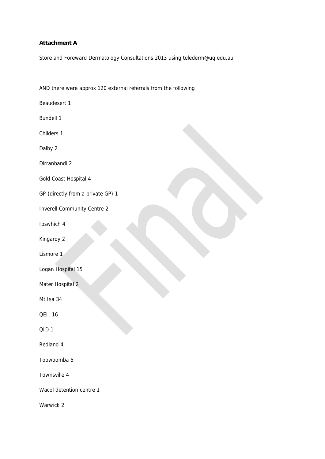## **Attachment A**

Store and Foreward Dermatology Consultations 2013 using telederm@uq.edu.au

AND there were approx 120 external referrals from the following

Beaudesert 1

Bundell 1

Childers 1

Dalby 2

Dirranbandi 2

Gold Coast Hospital 4

GP (directly from a private GP) 1

Inverell Community Centre 2

Ipswhich 4

Kingaroy 2

Lismore 1

Logan Hospital 15

Mater Hospital 2

Mt Isa 34

QEII 16

QID 1

Redland 4

Toowoomba 5

Townsville 4

Wacol detention centre 1

Warwick 2